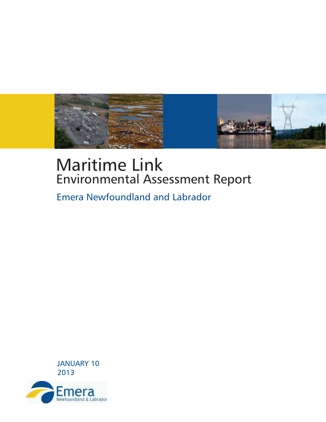

# **Maritime Link Environmental Assessment Report**

**Emera Newfoundland and Labrador** 



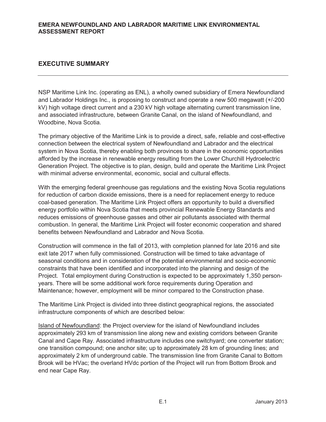#### **EXECUTIVE SUMMARY**

NSP Maritime Link Inc. (operating as ENL), a wholly owned subsidiary of Emera Newfoundland and Labrador Holdings Inc., is proposing to construct and operate a new 500 megawatt (+/-200 kV) high voltage direct current and a 230 kV high voltage alternating current transmission line, and associated infrastructure, between Granite Canal, on the island of Newfoundland, and Woodbine, Nova Scotia.

The primary objective of the Maritime Link is to provide a direct, safe, reliable and cost-effective connection between the electrical system of Newfoundland and Labrador and the electrical system in Nova Scotia, thereby enabling both provinces to share in the economic opportunities afforded by the increase in renewable energy resulting from the Lower Churchill Hydroelectric Generation Project. The objective is to plan, design, build and operate the Maritime Link Project with minimal adverse environmental, economic, social and cultural effects.

With the emerging federal greenhouse gas regulations and the existing Nova Scotia regulations for reduction of carbon dioxide emissions, there is a need for replacement energy to reduce coal-based generation. The Maritime Link Project offers an opportunity to build a diversified energy portfolio within Nova Scotia that meets provincial Renewable Energy Standards and reduces emissions of greenhouse gasses and other air pollutants associated with thermal combustion. In general, the Maritime Link Project will foster economic cooperation and shared benefits between Newfoundland and Labrador and Nova Scotia.

Construction will commence in the fall of 2013, with completion planned for late 2016 and site exit late 2017 when fully commissioned. Construction will be timed to take advantage of seasonal conditions and in consideration of the potential environmental and socio-economic constraints that have been identified and incorporated into the planning and design of the Project. Total employment during Construction is expected to be approximately 1,350 personyears. There will be some additional work force requirements during Operation and Maintenance; however, employment will be minor compared to the Construction phase.

The Maritime Link Project is divided into three distinct geographical regions, the associated infrastructure components of which are described below:

Island of Newfoundland: the Project overview for the island of Newfoundland includes approximately 293 km of transmission line along new and existing corridors between Granite Canal and Cape Ray. Associated infrastructure includes one switchyard; one converter station; one transition compound; one anchor site; up to approximately 28 km of grounding lines; and approximately 2 km of underground cable. The transmission line from Granite Canal to Bottom Brook will be HVac; the overland HVdc portion of the Project will run from Bottom Brook and end near Cape Ray.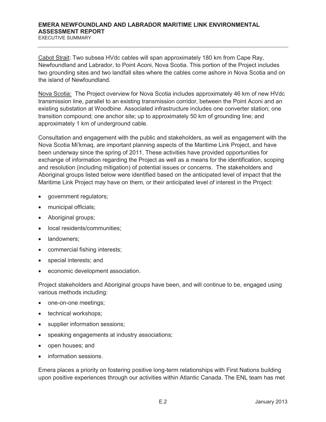#### **EMERA NEWFOUNDLAND AND LABRADOR MARITIME LINK ENVIRONMENTAL ASSESSMENT REPORT**  EXECUTIVE SUMMARY

Cabot Strait: Two subsea HVdc cables will span approximately 180 km from Cape Ray, Newfoundland and Labrador, to Point Aconi, Nova Scotia. This portion of the Project includes two grounding sites and two landfall sites where the cables come ashore in Nova Scotia and on the island of Newfoundland.

Nova Scotia: The Project overview for Nova Scotia includes approximately 46 km of new HVdc transmission line, parallel to an existing transmission corridor, between the Point Aconi and an existing substation at Woodbine. Associated infrastructure includes one converter station; one transition compound; one anchor site; up to approximately 50 km of grounding line; and approximately 1 km of underground cable.

Consultation and engagement with the public and stakeholders, as well as engagement with the Nova Scotia Mi'kmaq, are important planning aspects of the Maritime Link Project, and have been underway since the spring of 2011. These activities have provided opportunities for exchange of information regarding the Project as well as a means for the identification, scoping and resolution (including mitigation) of potential issues or concerns. The stakeholders and Aboriginal groups listed below were identified based on the anticipated level of impact that the Maritime Link Project may have on them, or their anticipated level of interest in the Project:

- government regulators;
- municipal officials;
- Aboriginal groups;
- local residents/communities;
- landowners:
- commercial fishing interests;
- special interests; and
- economic development association.

Project stakeholders and Aboriginal groups have been, and will continue to be, engaged using various methods including:

- one-on-one meetings;
- technical workshops;
- supplier information sessions;
- speaking engagements at industry associations;
- open houses; and
- information sessions.

Emera places a priority on fostering positive long-term relationships with First Nations building upon positive experiences through our activities within Atlantic Canada. The ENL team has met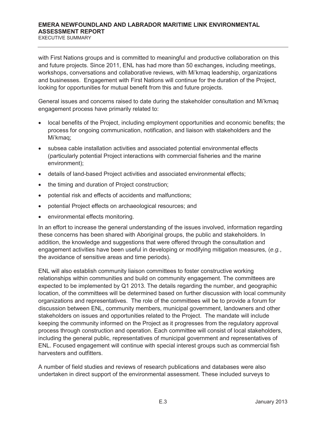EXECUTIVE SUMMARY

with First Nations groups and is committed to meaningful and productive collaboration on this and future projects. Since 2011, ENL has had more than 50 exchanges, including meetings, workshops, conversations and collaborative reviews, with Mi'kmaq leadership, organizations and businesses. Engagement with First Nations will continue for the duration of the Project, looking for opportunities for mutual benefit from this and future projects.

General issues and concerns raised to date during the stakeholder consultation and Mi'kmaq engagement process have primarily related to:

- local benefits of the Project, including employment opportunities and economic benefits; the process for ongoing communication, notification, and liaison with stakeholders and the Mi'kmaq;
- subsea cable installation activities and associated potential environmental effects (particularly potential Project interactions with commercial fisheries and the marine environment);
- details of land-based Project activities and associated environmental effects;
- the timing and duration of Project construction;
- potential risk and effects of accidents and malfunctions;
- potential Project effects on archaeological resources; and
- environmental effects monitoring.

In an effort to increase the general understanding of the issues involved, information regarding these concerns has been shared with Aboriginal groups, the public and stakeholders. In addition, the knowledge and suggestions that were offered through the consultation and engagement activities have been useful in developing or modifying mitigation measures, (*e.g.*, the avoidance of sensitive areas and time periods).

ENL will also establish community liaison committees to foster constructive working relationships within communities and build on community engagement. The committees are expected to be implemented by Q1 2013. The details regarding the number, and geographic location, of the committees will be determined based on further discussion with local community organizations and representatives. The role of the committees will be to provide a forum for discussion between ENL, community members, municipal government, landowners and other stakeholders on issues and opportunities related to the Project. The mandate will include keeping the community informed on the Project as it progresses from the regulatory approval process through construction and operation. Each committee will consist of local stakeholders, including the general public, representatives of municipal government and representatives of ENL. Focused engagement will continue with special interest groups such as commercial fish harvesters and outfitters.

A number of field studies and reviews of research publications and databases were also undertaken in direct support of the environmental assessment. These included surveys to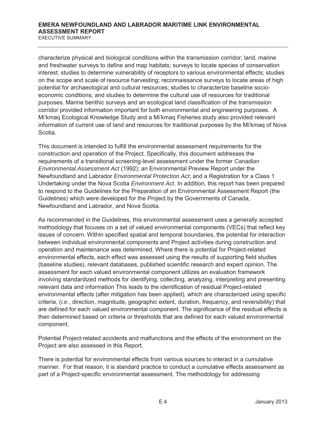#### **EMERA NEWFOUNDLAND AND LABRADOR MARITIME LINK ENVIRONMENTAL ASSESSMENT REPORT**  EXECUTIVE SUMMARY

characterize physical and biological conditions within the transmission corridor; land, marine and freshwater surveys to define and map habitats; surveys to locate species of conservation interest; studies to determine vulnerability of receptors to various environmental effects; studies on the scope and scale of resource harvesting; reconnaissance surveys to locate areas of high potential for archaeological and cultural resources; studies to characterize baseline socioeconomic conditions; and studies to determine the cultural use of resources for traditional purposes. Marine benthic surveys and an ecological land classification of the transmission corridor provided information important for both environmental and engineering purposes. A Mi'kmaq Ecological Knowledge Study and a Mi'kmaq Fisheries study also provided relevant information of current use of land and resources for traditional purposes by the Mi'kmaq of Nova Scotia.

This document is intended to fulfill the environmental assessment requirements for the construction and operation of the Project. Specifically, this document addresses the requirements of a transitional screening-level assessment under the former *Canadian Environmental Assessment Act* (1992); an Environmental Preview Report under the Newfoundland and Labrador *Environmental Protection Act*; and a Registration for a Class 1 Undertaking under the Nova Scotia *Environment Act*. In addition, this report has been prepared to respond to the Guidelines for the Preparation of an Environmental Assessment Report (the Guidelines) which were developed for the Project by the Governments of Canada, Newfoundland and Labrador, and Nova Scotia.

As recommended in the Guidelines, this environmental assessment uses a generally accepted methodology that focuses on a set of valued environmental components (VECs) that reflect key issues of concern. Within specified spatial and temporal boundaries, the potential for interaction between individual environmental components and Project activities during construction and operation and maintenance was determined. Where there is potential for Project-related environmental effects, each effect was assessed using the results of supporting field studies (baseline studies), relevant databases, published scientific research and expert opinion. The assessment for each valued environmental component utilizes an evaluation framework involving standardized methods for identifying, collecting, analyzing, interpreting and presenting relevant data and information This leads to the identification of residual Project-related environmental effects (after mitigation has been applied), which are characterized using specific criteria, (*i.e.*, direction, magnitude, geographic extent, duration, frequency, and reversibility) that are defined for each valued environmental component. The significance of the residual effects is then determined based on criteria or thresholds that are defined for each valued environmental component.

Potential Project-related accidents and malfunctions and the effects of the environment on the Project are also assessed in this Report.

There is potential for environmental effects from various sources to interact in a cumulative manner. For that reason, it is standard practice to conduct a cumulative effects assessment as part of a Project-specific environmental assessment. The methodology for addressing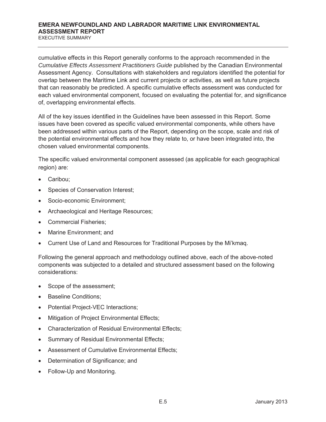cumulative effects in this Report generally conforms to the approach recommended in the *Cumulative Effects Assessment Practitioners Guide* published by the Canadian Environmental Assessment Agency. Consultations with stakeholders and regulators identified the potential for overlap between the Maritime Link and current projects or activities, as well as future projects that can reasonably be predicted. A specific cumulative effects assessment was conducted for each valued environmental component, focused on evaluating the potential for, and significance of, overlapping environmental effects.

All of the key issues identified in the Guidelines have been assessed in this Report. Some issues have been covered as specific valued environmental components, while others have been addressed within various parts of the Report, depending on the scope, scale and risk of the potential environmental effects and how they relate to, or have been integrated into, the chosen valued environmental components.

The specific valued environmental component assessed (as applicable for each geographical region) are:

- Caribou:
- Species of Conservation Interest;
- Socio-economic Environment;
- Archaeological and Heritage Resources;
- Commercial Fisheries;
- Marine Environment: and
- Current Use of Land and Resources for Traditional Purposes by the Mi'kmaq.

Following the general approach and methodology outlined above, each of the above-noted components was subjected to a detailed and structured assessment based on the following considerations:

- Scope of the assessment;
- Baseline Conditions;
- Potential Project-VEC Interactions;
- Mitigation of Project Environmental Effects;
- x Characterization of Residual Environmental Effects;
- Summary of Residual Environmental Effects;
- Assessment of Cumulative Environmental Effects:
- Determination of Significance; and
- Follow-Up and Monitoring.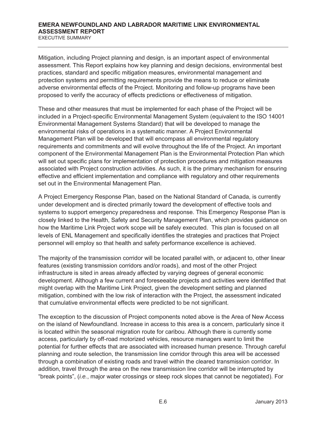EXECUTIVE SUMMARY

Mitigation, including Project planning and design, is an important aspect of environmental assessment. This Report explains how key planning and design decisions, environmental best practices, standard and specific mitigation measures, environmental management and protection systems and permitting requirements provide the means to reduce or eliminate adverse environmental effects of the Project. Monitoring and follow-up programs have been proposed to verify the accuracy of effects predictions or effectiveness of mitigation.

These and other measures that must be implemented for each phase of the Project will be included in a Project-specific Environmental Management System (equivalent to the ISO 14001 Environmental Management Systems Standard) that will be developed to manage the environmental risks of operations in a systematic manner. A Project Environmental Management Plan will be developed that will encompass all environmental regulatory requirements and commitments and will evolve throughout the life of the Project. An important component of the Environmental Management Plan is the Environmental Protection Plan which will set out specific plans for implementation of protection procedures and mitigation measures associated with Project construction activities. As such, it is the primary mechanism for ensuring effective and efficient implementation and compliance with regulatory and other requirements set out in the Environmental Management Plan.

A Project Emergency Response Plan, based on the National Standard of Canada, is currently under development and is directed primarily toward the development of effective tools and systems to support emergency preparedness and response. This Emergency Response Plan is closely linked to the Health, Safety and Security Management Plan, which provides guidance on how the Maritime Link Project work scope will be safely executed. This plan is focused on all levels of ENL Management and specifically identifies the strategies and practices that Project personnel will employ so that health and safety performance excellence is achieved.

The majority of the transmission corridor will be located parallel with, or adjacent to, other linear features (existing transmission corridors and/or roads), and most of the other Project infrastructure is sited in areas already affected by varying degrees of general economic development. Although a few current and foreseeable projects and activities were identified that might overlap with the Maritime Link Project, given the development setting and planned mitigation, combined with the low risk of interaction with the Project, the assessment indicated that cumulative environmental effects were predicted to be not significant.

The exception to the discussion of Project components noted above is the Area of New Access on the island of Newfoundland. Increase in access to this area is a concern, particularly since it is located within the seasonal migration route for caribou. Although there is currently some access, particularly by off-road motorized vehicles, resource managers want to limit the potential for further effects that are associated with increased human presence. Through careful planning and route selection, the transmission line corridor through this area will be accessed through a combination of existing roads and travel within the cleared transmission corridor. In addition, travel through the area on the new transmission line corridor will be interrupted by "break points", (*i.e.*, major water crossings or steep rock slopes that cannot be negotiated). For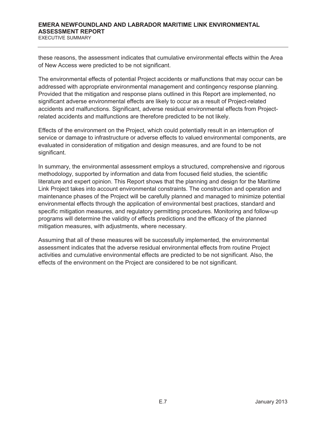#### **EMERA NEWFOUNDLAND AND LABRADOR MARITIME LINK ENVIRONMENTAL ASSESSMENT REPORT**  EXECUTIVE SUMMARY

these reasons, the assessment indicates that cumulative environmental effects within the Area of New Access were predicted to be not significant.

The environmental effects of potential Project accidents or malfunctions that may occur can be addressed with appropriate environmental management and contingency response planning. Provided that the mitigation and response plans outlined in this Report are implemented, no significant adverse environmental effects are likely to occur as a result of Project-related accidents and malfunctions. Significant, adverse residual environmental effects from Projectrelated accidents and malfunctions are therefore predicted to be not likely.

Effects of the environment on the Project, which could potentially result in an interruption of service or damage to infrastructure or adverse effects to valued environmental components, are evaluated in consideration of mitigation and design measures, and are found to be not significant.

In summary, the environmental assessment employs a structured, comprehensive and rigorous methodology, supported by information and data from focused field studies, the scientific literature and expert opinion. This Report shows that the planning and design for the Maritime Link Project takes into account environmental constraints. The construction and operation and maintenance phases of the Project will be carefully planned and managed to minimize potential environmental effects through the application of environmental best practices, standard and specific mitigation measures, and regulatory permitting procedures. Monitoring and follow-up programs will determine the validity of effects predictions and the efficacy of the planned mitigation measures, with adjustments, where necessary.

Assuming that all of these measures will be successfully implemented, the environmental assessment indicates that the adverse residual environmental effects from routine Project activities and cumulative environmental effects are predicted to be not significant. Also, the effects of the environment on the Project are considered to be not significant.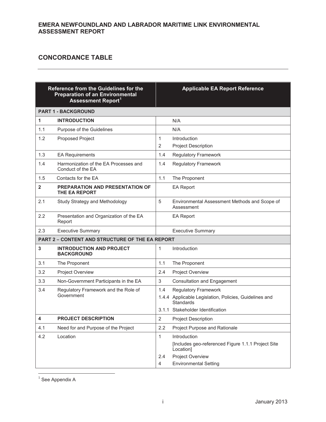#### **CONCORDANCE TABLE**

#### **Reference from the Guidelines for the Preparation of an Environmental Assessment Report<sup>1</sup>**

## **Applicable EA Report Reference**

|                         | ASSESSIIIEIIL REPUIL                                       |                     |                                                                                 |
|-------------------------|------------------------------------------------------------|---------------------|---------------------------------------------------------------------------------|
|                         | <b>PART 1 - BACKGROUND</b>                                 |                     |                                                                                 |
| 1                       | <b>INTRODUCTION</b>                                        |                     | N/A                                                                             |
| 1.1                     | Purpose of the Guidelines                                  |                     | N/A                                                                             |
| 1.2                     | <b>Proposed Project</b>                                    | 1<br>$\overline{2}$ | Introduction<br><b>Project Description</b>                                      |
| 1.3                     | <b>EA Requirements</b>                                     | 1.4                 | <b>Regulatory Framework</b>                                                     |
| 1.4                     | Harmonization of the EA Processes and<br>Conduct of the EA | 1.4                 | <b>Regulatory Framework</b>                                                     |
| 1.5                     | Contacts for the EA                                        | 1.1                 | The Proponent                                                                   |
| $\overline{\mathbf{2}}$ | <b>PREPARATION AND PRESENTATION OF</b><br>THE EA REPORT    |                     | <b>EA Report</b>                                                                |
| 2.1                     | Study Strategy and Methodology                             | 5                   | Environmental Assessment Methods and Scope of<br>Assessment                     |
| 2.2                     | Presentation and Organization of the EA<br>Report          |                     | <b>EA Report</b>                                                                |
| 2.3                     | <b>Executive Summary</b>                                   |                     | <b>Executive Summary</b>                                                        |
|                         | <b>PART 2 - CONTENT AND STRUCTURE OF THE EA REPORT</b>     |                     |                                                                                 |
| 3                       | <b>INTRODUCTION AND PROJECT</b><br><b>BACKGROUND</b>       | $\mathbf{1}$        | Introduction                                                                    |
| 3.1                     | The Proponent                                              | 1.1                 | The Proponent                                                                   |
| 3.2                     | <b>Project Overview</b>                                    | 2.4                 | <b>Project Overview</b>                                                         |
| 3.3                     | Non-Government Participants in the EA                      | 3                   | <b>Consultation and Engagement</b>                                              |
| 3.4                     | Regulatory Framework and the Role of                       | 1.4                 | <b>Regulatory Framework</b>                                                     |
|                         | Government                                                 |                     | 1.4.4 Applicable Legislation, Policies, Guidelines and<br>Standards             |
|                         |                                                            |                     | 3.1.1 Stakeholder Identification                                                |
| 4                       | <b>PROJECT DESCRIPTION</b>                                 | $\overline{2}$      | <b>Project Description</b>                                                      |
| 4.1                     | Need for and Purpose of the Project                        | 2.2                 | Project Purpose and Rationale                                                   |
| 4.2                     | Location                                                   | $\mathbf{1}$        | Introduction<br>[Includes geo-referenced Figure 1.1.1 Project Site<br>Location] |
|                         |                                                            | 2.4<br>4            | Project Overview<br><b>Environmental Setting</b>                                |
|                         |                                                            |                     |                                                                                 |

 $1$  See Appendix A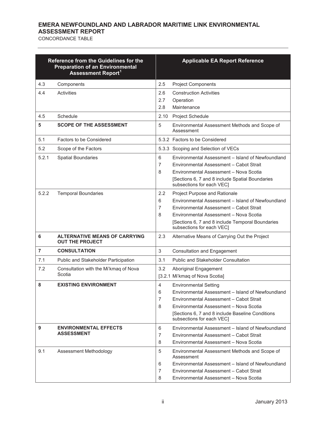|                | Reference from the Guidelines for the<br><b>Preparation of an Environmental</b><br><b>Assessment Report1</b> | <b>Applicable EA Report Reference</b> |                                                                                                                                                                                                                                                          |  |
|----------------|--------------------------------------------------------------------------------------------------------------|---------------------------------------|----------------------------------------------------------------------------------------------------------------------------------------------------------------------------------------------------------------------------------------------------------|--|
| 4.3            | Components                                                                                                   | 2.5                                   | <b>Project Components</b>                                                                                                                                                                                                                                |  |
| 4.4            | Activities                                                                                                   | 2.6<br>2.7<br>2.8                     | <b>Construction Activities</b><br>Operation<br>Maintenance                                                                                                                                                                                               |  |
| 4.5            | Schedule                                                                                                     | 2.10                                  | Project Schedule                                                                                                                                                                                                                                         |  |
| 5              | <b>SCOPE OF THE ASSESSMENT</b>                                                                               | 5                                     | Environmental Assessment Methods and Scope of<br>Assessment                                                                                                                                                                                              |  |
| 5.1            | Factors to be Considered                                                                                     |                                       | 5.3.2 Factors to be Considered                                                                                                                                                                                                                           |  |
| 5.2            | Scope of the Factors                                                                                         |                                       | 5.3.3 Scoping and Selection of VECs                                                                                                                                                                                                                      |  |
| 5.2.1          | <b>Spatial Boundaries</b>                                                                                    | 6<br>7<br>8                           | Environmental Assessment - Island of Newfoundland<br>Environmental Assessment - Cabot Strait<br>Environmental Assessment - Nova Scotia<br>[Sections 6, 7 and 8 include Spatial Boundaries<br>subsections for each VEC]                                   |  |
| 5.2.2          | <b>Temporal Boundaries</b>                                                                                   | 2.2<br>6<br>7<br>8                    | Project Purpose and Rationale<br>Environmental Assessment - Island of Newfoundland<br>Environmental Assessment - Cabot Strait<br>Environmental Assessment - Nova Scotia<br>[Sections 6, 7 and 8 include Temporal Boundaries<br>subsections for each VEC1 |  |
| 6              | <b>ALTERNATIVE MEANS OF CARRYING</b><br><b>OUT THE PROJECT</b>                                               | 2.3                                   | Alternative Means of Carrying Out the Project                                                                                                                                                                                                            |  |
| $\overline{7}$ | <b>CONSULTATION</b>                                                                                          | $\sqrt{3}$                            | <b>Consultation and Engagement</b>                                                                                                                                                                                                                       |  |
| 7.1            | Public and Stakeholder Participation                                                                         | 3.1                                   | <b>Public and Stakeholder Consultation</b>                                                                                                                                                                                                               |  |
| 7.2            | Consultation with the Mi'kmaq of Nova<br>Scotia                                                              | 3.2                                   | Aboriginal Engagement<br>[3.2.1 Mi'kmaq of Nova Scotia]                                                                                                                                                                                                  |  |
| 8              | <b>EXISTING ENVIRONMENT</b>                                                                                  | 4<br>6<br>$\overline{7}$<br>8         | <b>Environmental Setting</b><br>Environmental Assessment - Island of Newfoundland<br>Environmental Assessment - Cabot Strait<br>Environmental Assessment - Nova Scotia<br>[Sections 6, 7 and 8 include Baseline Conditions<br>subsections for each VEC]  |  |
| 9              | <b>ENVIRONMENTAL EFFECTS</b><br><b>ASSESSMENT</b>                                                            | 6<br>7<br>8                           | Environmental Assessment - Island of Newfoundland<br>Environmental Assessment - Cabot Strait<br>Environmental Assessment - Nova Scotia                                                                                                                   |  |
| 9.1            | Assessment Methodology                                                                                       | 5<br>6<br>7<br>8                      | Environmental Assessment Methods and Scope of<br>Assessment<br>Environmental Assessment - Island of Newfoundland<br>Environmental Assessment - Cabot Strait<br>Environmental Assessment - Nova Scotia                                                    |  |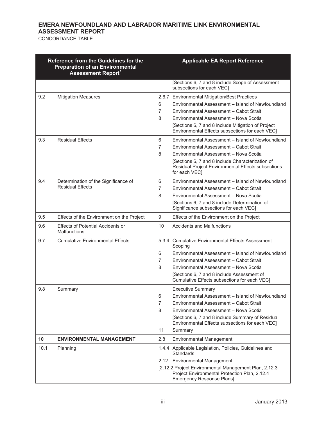|      | Reference from the Guidelines for the<br><b>Preparation of an Environmental</b><br><b>Assessment Report1</b> | <b>Applicable EA Report Reference</b>             |                                                                                                                                                                                                                                                                                                  |  |
|------|--------------------------------------------------------------------------------------------------------------|---------------------------------------------------|--------------------------------------------------------------------------------------------------------------------------------------------------------------------------------------------------------------------------------------------------------------------------------------------------|--|
|      |                                                                                                              | subsections for each VEC]                         | [Sections 6, 7 and 8 include Scope of Assessment                                                                                                                                                                                                                                                 |  |
| 9.2  | <b>Mitigation Measures</b>                                                                                   |                                                   | 2.6.7 Environmental Mitigation/Best Practices<br>Environmental Assessment - Island of Newfoundland<br>Environmental Assessment - Cabot Strait<br>Environmental Assessment - Nova Scotia<br>[Sections 6, 7 and 8 include Mitigation of Project<br>Environmental Effects subsections for each VEC] |  |
| 9.3  | <b>Residual Effects</b>                                                                                      | for each VEC1                                     | Environmental Assessment - Island of Newfoundland<br>Environmental Assessment - Cabot Strait<br>Environmental Assessment - Nova Scotia<br>[Sections 6, 7 and 8 include Characterization of<br>Residual Project Environmental Effects subsections                                                 |  |
| 9.4  | Determination of the Significance of<br><b>Residual Effects</b>                                              |                                                   | Environmental Assessment - Island of Newfoundland<br>Environmental Assessment - Cabot Strait<br>Environmental Assessment - Nova Scotia<br>[Sections 6, 7 and 8 include Determination of<br>Significance subsections for each VEC1                                                                |  |
| 9.5  | Effects of the Environment on the Project                                                                    |                                                   | Effects of the Environment on the Project                                                                                                                                                                                                                                                        |  |
| 9.6  | <b>Effects of Potential Accidents or</b><br><b>Malfunctions</b>                                              | 10<br><b>Accidents and Malfunctions</b>           |                                                                                                                                                                                                                                                                                                  |  |
| 9.7  | <b>Cumulative Environmental Effects</b>                                                                      | Scoping                                           | 5.3.4 Cumulative Environmental Effects Assessment<br>Environmental Assessment - Island of Newfoundland<br>Environmental Assessment - Cabot Strait<br>Environmental Assessment - Nova Scotia<br>[Sections 6, 7 and 8 include Assessment of<br>Cumulative Effects subsections for each VEC]        |  |
| 9.8  | Summary                                                                                                      | <b>Executive Summary</b><br>Summary<br>11         | Environmental Assessment - Island of Newfoundland<br>Environmental Assessment - Cabot Strait<br>Environmental Assessment - Nova Scotia<br>[Sections 6, 7 and 8 include Summary of Residual<br>Environmental Effects subsections for each VEC]                                                    |  |
| 10   | <b>ENVIRONMENTAL MANAGEMENT</b>                                                                              | 2.8<br>Environmental Management                   |                                                                                                                                                                                                                                                                                                  |  |
| 10.1 | Planning                                                                                                     | <b>Standards</b><br>2.12 Environmental Management | 1.4.4 Applicable Legislation, Policies, Guidelines and<br>[2.12.2 Project Environmental Management Plan, 2.12.3<br>Project Environmental Protection Plan, 2.12.4<br><b>Emergency Response Plans]</b>                                                                                             |  |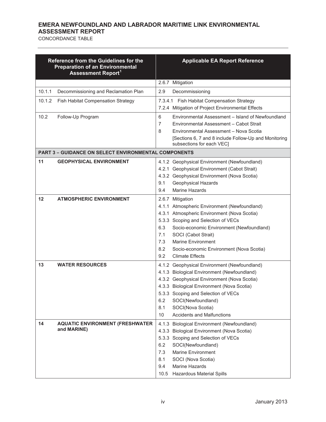|         | Reference from the Guidelines for the<br><b>Preparation of an Environmental</b><br><b>Assessment Report1</b> | <b>Applicable EA Report Reference</b>                                                                                                                                                                                                                                                                                                                            |
|---------|--------------------------------------------------------------------------------------------------------------|------------------------------------------------------------------------------------------------------------------------------------------------------------------------------------------------------------------------------------------------------------------------------------------------------------------------------------------------------------------|
|         |                                                                                                              | 2.6.7 Mitigation                                                                                                                                                                                                                                                                                                                                                 |
| 10.1.1  | Decommissioning and Reclamation Plan                                                                         | 2.9<br>Decommissioning                                                                                                                                                                                                                                                                                                                                           |
| 10.1.2  | Fish Habitat Compensation Strategy                                                                           | 7.3.4.1 Fish Habitat Compensation Strategy<br>7.2.4 Mitigation of Project Environmental Effects                                                                                                                                                                                                                                                                  |
| 10.2    | Follow-Up Program                                                                                            | Environmental Assessment - Island of Newfoundland<br>6<br>7<br>Environmental Assessment - Cabot Strait<br>Environmental Assessment - Nova Scotia<br>8<br>[Sections 6, 7 and 8 include Follow-Up and Monitoring<br>subsections for each VEC]                                                                                                                      |
|         | <b>PART 3 - GUIDANCE ON SELECT ENVIRONMENTAL COMPONENTS</b>                                                  |                                                                                                                                                                                                                                                                                                                                                                  |
| 11      | <b>GEOPHYSICAL ENVIRONMENT</b>                                                                               | 4.1.2 Geophysical Environment (Newfoundland)<br>4.2.1 Geophysical Environment (Cabot Strait)<br>4.3.2 Geophysical Environment (Nova Scotia)<br>Geophysical Hazards<br>9.1<br>Marine Hazards<br>9.4                                                                                                                                                               |
| $12 \,$ | <b>ATMOSPHERIC ENVIRONMENT</b>                                                                               | 2.6.7 Mitigation<br>4.1.1 Atmospheric Environment (Newfoundland)<br>4.3.1 Atmospheric Environment (Nova Scotia)<br>5.3.3 Scoping and Selection of VECs<br>6.3<br>Socio-economic Environment (Newfoundland)<br>SOCI (Cabot Strait)<br>7.1<br>7.3<br><b>Marine Environment</b><br>8.2<br>Socio-economic Environment (Nova Scotia)<br>9.2<br><b>Climate Effects</b> |
| 13      | <b>WATER RESOURCES</b>                                                                                       | 4.1.2 Geophysical Environment (Newfoundland)<br>4.1.3 Biological Environment (Newfoundland)<br>4.3.2 Geophysical Environment (Nova Scotia)<br>4.3.3 Biological Environment (Nova Scotia)<br>5.3.3 Scoping and Selection of VECs<br>6.2<br>SOCI(Newfoundland)<br>8.1<br>SOCI(Nova Scotia)<br><b>Accidents and Malfunctions</b><br>10                              |
| 14      | <b>AQUATIC ENVIRONMENT (FRESHWATER</b><br>and MARINE)                                                        | 4.1.3 Biological Environment (Newfoundland)<br>4.3.3 Biological Environment (Nova Scotia)<br>5.3.3 Scoping and Selection of VECs<br>6.2<br>SOCI(Newfoundland)<br>7.3<br>Marine Environment<br>8.1<br>SOCI (Nova Scotia)<br>Marine Hazards<br>9.4<br>10.5 Hazardous Material Spills                                                                               |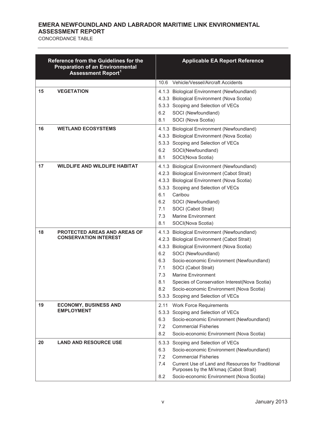|    | Reference from the Guidelines for the<br><b>Preparation of an Environmental</b><br><b>Assessment Report1</b> | <b>Applicable EA Report Reference</b>                                                                                                                                                                                                                                                                                                                                                                                                          |
|----|--------------------------------------------------------------------------------------------------------------|------------------------------------------------------------------------------------------------------------------------------------------------------------------------------------------------------------------------------------------------------------------------------------------------------------------------------------------------------------------------------------------------------------------------------------------------|
|    |                                                                                                              | Vehicle/Vessel/Aircraft Accidents<br>10.6                                                                                                                                                                                                                                                                                                                                                                                                      |
| 15 | <b>VEGETATION</b>                                                                                            | 4.1.3 Biological Environment (Newfoundland)<br>4.3.3 Biological Environment (Nova Scotia)<br>5.3.3 Scoping and Selection of VECs<br>SOCI (Newfoundland)<br>6.2<br>8.1<br>SOCI (Nova Scotia)                                                                                                                                                                                                                                                    |
| 16 | <b>WETLAND ECOSYSTEMS</b>                                                                                    | 4.1.3 Biological Environment (Newfoundland)<br>4.3.3 Biological Environment (Nova Scotia)<br>5.3.3 Scoping and Selection of VECs<br>6.2<br>SOCI(Newfoundland)<br>SOCI(Nova Scotia)<br>8.1                                                                                                                                                                                                                                                      |
| 17 | <b>WILDLIFE AND WILDLIFE HABITAT</b>                                                                         | 4.1.3 Biological Environment (Newfoundland)<br>4.2.3 Biological Environment (Cabot Strait)<br>4.3.3 Biological Environment (Nova Scotia)<br>5.3.3 Scoping and Selection of VECs<br>6.1<br>Caribou<br>6.2<br>SOCI (Newfoundland)<br>7.1<br>SOCI (Cabot Strait)<br>7.3<br><b>Marine Environment</b><br>8.1<br>SOCI(Nova Scotia)                                                                                                                  |
| 18 | <b>PROTECTED AREAS AND AREAS OF</b><br><b>CONSERVATION INTEREST</b>                                          | 4.1.3 Biological Environment (Newfoundland)<br>4.2.3 Biological Environment (Cabot Strait)<br>4.3.3 Biological Environment (Nova Scotia)<br>6.2<br>SOCI (Newfoundland)<br>6.3<br>Socio-economic Environment (Newfoundland)<br>7.1<br>SOCI (Cabot Strait)<br><b>Marine Environment</b><br>7.3<br>8.1<br>Species of Conservation Interest(Nova Scotia)<br>8.2<br>Socio-economic Environment (Nova Scotia)<br>5.3.3 Scoping and Selection of VECs |
| 19 | <b>ECONOMY, BUSINESS AND</b><br><b>EMPLOYMENT</b>                                                            | 2.11<br><b>Work Force Requirements</b><br>5.3.3 Scoping and Selection of VECs<br>Socio-economic Environment (Newfoundland)<br>6.3<br>7.2<br><b>Commercial Fisheries</b><br>8.2<br>Socio-economic Environment (Nova Scotia)                                                                                                                                                                                                                     |
| 20 | <b>LAND AND RESOURCE USE</b>                                                                                 | 5.3.3<br>Scoping and Selection of VECs<br>6.3<br>Socio-economic Environment (Newfoundland)<br>7.2<br><b>Commercial Fisheries</b><br>Current Use of Land and Resources for Traditional<br>7.4<br>Purposes by the Mi'kmaq (Cabot Strait)<br>Socio-economic Environment (Nova Scotia)<br>8.2                                                                                                                                                      |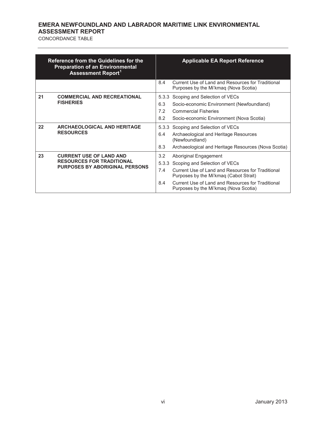|    | Reference from the Guidelines for the<br><b>Preparation of an Environmental</b><br><b>Assessment Report1</b> |                            | <b>Applicable EA Report Reference</b>                                                                                                                                                                                                               |
|----|--------------------------------------------------------------------------------------------------------------|----------------------------|-----------------------------------------------------------------------------------------------------------------------------------------------------------------------------------------------------------------------------------------------------|
|    |                                                                                                              | 8.4                        | Current Use of Land and Resources for Traditional<br>Purposes by the Mi'kmaq (Nova Scotia)                                                                                                                                                          |
| 21 | <b>COMMERCIAL AND RECREATIONAL</b><br><b>FISHERIES</b>                                                       | 5.3.3<br>6.3<br>7.2<br>8.2 | Scoping and Selection of VECs<br>Socio-economic Environment (Newfoundland)<br><b>Commercial Fisheries</b><br>Socio-economic Environment (Nova Scotia)                                                                                               |
| 22 | <b>ARCHAEOLOGICAL AND HERITAGE</b><br><b>RESOURCES</b>                                                       | 5.3.3<br>6.4<br>8.3        | Scoping and Selection of VECs<br>Archaeological and Heritage Resources<br>(Newfoundland)<br>Archaeological and Heritage Resources (Nova Scotia)                                                                                                     |
| 23 | <b>CURRENT USE OF LAND AND</b><br><b>RESOURCES FOR TRADITIONAL</b><br><b>PURPOSES BY ABORIGINAL PERSONS</b>  | 3.2<br>5.3.3<br>7.4<br>8.4 | Aboriginal Engagement<br>Scoping and Selection of VECs<br>Current Use of Land and Resources for Traditional<br>Purposes by the Mi'kmag (Cabot Strait)<br>Current Use of Land and Resources for Traditional<br>Purposes by the Mi'kmaq (Nova Scotia) |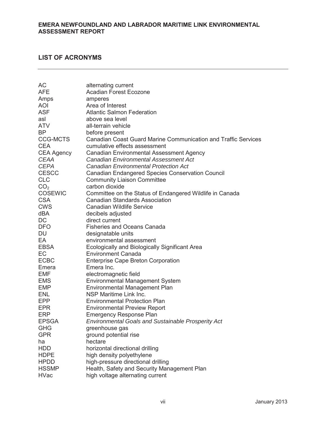## **LIST OF ACRONYMS**

| AC                | alternating current                                                   |
|-------------------|-----------------------------------------------------------------------|
| <b>AFE</b>        | <b>Acadian Forest Ecozone</b>                                         |
| Amps              | amperes                                                               |
| <b>AOI</b>        | Area of Interest                                                      |
| <b>ASF</b>        | <b>Atlantic Salmon Federation</b>                                     |
| asl               | above sea level                                                       |
| <b>ATV</b>        | all-terrain vehicle                                                   |
| <b>BP</b>         | before present                                                        |
| <b>CCG-MCTS</b>   | <b>Canadian Coast Guard Marine Communication and Traffic Services</b> |
| <b>CEA</b>        | cumulative effects assessment                                         |
| <b>CEA Agency</b> | <b>Canadian Environmental Assessment Agency</b>                       |
| <b>CEAA</b>       | Canadian Environmental Assessment Act                                 |
| <b>CEPA</b>       | <b>Canadian Environmental Protection Act</b>                          |
| <b>CESCC</b>      | <b>Canadian Endangered Species Conservation Council</b>               |
| <b>CLC</b>        | <b>Community Liaison Committee</b>                                    |
| CO <sub>2</sub>   | carbon dioxide                                                        |
| <b>COSEWIC</b>    | Committee on the Status of Endangered Wildlife in Canada              |
| <b>CSA</b>        | <b>Canadian Standards Association</b>                                 |
| <b>CWS</b>        | <b>Canadian Wildlife Service</b>                                      |
| <b>dBA</b>        | decibels adjusted                                                     |
| <b>DC</b>         | direct current                                                        |
| DFO               | <b>Fisheries and Oceans Canada</b>                                    |
| <b>DU</b>         | designatable units                                                    |
| EA                | environmental assessment                                              |
| <b>EBSA</b>       | Ecologically and Biologically Significant Area                        |
| EC                | <b>Environment Canada</b>                                             |
| <b>ECBC</b>       | <b>Enterprise Cape Breton Corporation</b>                             |
| Emera             | Emera Inc.                                                            |
| EMF               | electromagnetic field                                                 |
| <b>EMS</b>        | <b>Environmental Management System</b>                                |
| <b>EMP</b>        | Environmental Management Plan                                         |
| <b>ENL</b>        | NSP Maritime Link Inc.                                                |
| <b>EPP</b>        | <b>Environmental Protection Plan</b>                                  |
| <b>EPR</b>        | <b>Environmental Preview Report</b>                                   |
| <b>ERP</b>        | <b>Emergency Response Plan</b>                                        |
| <b>EPSGA</b>      | <b>Environmental Goals and Sustainable Prosperity Act</b>             |
| <b>GHG</b>        | greenhouse gas                                                        |
| <b>GPR</b>        | ground potential rise                                                 |
| ha                | hectare                                                               |
| <b>HDD</b>        | horizontal directional drilling                                       |
| <b>HDPE</b>       | high density polyethylene                                             |
| <b>HPDD</b>       | high-pressure directional drilling                                    |
| <b>HSSMP</b>      | Health, Safety and Security Management Plan                           |
| <b>HVac</b>       | high voltage alternating current                                      |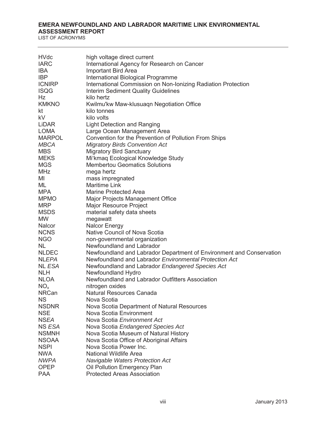LIST OF ACRONYMS

| <b>HVdc</b>     | high voltage direct current                                          |
|-----------------|----------------------------------------------------------------------|
| <b>IARC</b>     | International Agency for Research on Cancer                          |
| <b>IBA</b>      | <b>Important Bird Area</b>                                           |
| <b>IBP</b>      | International Biological Programme                                   |
| <b>ICNIRP</b>   | International Commission on Non-Ionizing Radiation Protection        |
| <b>ISQG</b>     | <b>Interim Sediment Quality Guidelines</b>                           |
| Hz              | kilo hertz                                                           |
| <b>KMKNO</b>    | Kwilmu'kw Maw-klusuagn Negotiation Office                            |
| kt              | kilo tonnes                                                          |
| kV              | kilo volts                                                           |
| <b>LiDAR</b>    | <b>Light Detection and Ranging</b>                                   |
| <b>LOMA</b>     | Large Ocean Management Area                                          |
| <b>MARPOL</b>   | Convention for the Prevention of Pollution From Ships                |
| <b>MBCA</b>     | <b>Migratory Birds Convention Act</b>                                |
| <b>MBS</b>      | <b>Migratory Bird Sanctuary</b>                                      |
| <b>MEKS</b>     | Mi'kmaq Ecological Knowledge Study                                   |
| <b>MGS</b>      | <b>Membertou Geomatics Solutions</b>                                 |
| <b>MHz</b>      | mega hertz                                                           |
| MI              | mass impregnated                                                     |
| ML              | <b>Maritime Link</b>                                                 |
| <b>MPA</b>      | <b>Marine Protected Area</b>                                         |
| <b>MPMO</b>     | Major Projects Management Office                                     |
| <b>MRP</b>      | <b>Major Resource Project</b>                                        |
| <b>MSDS</b>     | material safety data sheets                                          |
| <b>MW</b>       | megawatt                                                             |
| Nalcor          | <b>Nalcor Energy</b>                                                 |
| <b>NCNS</b>     | Native Council of Nova Scotia                                        |
| <b>NGO</b>      | non-governmental organization                                        |
| NL.             | Newfoundland and Labrador                                            |
| <b>NLDEC</b>    | Newfoundland and Labrador Department of Environment and Conservation |
| <b>NLEPA</b>    | Newfoundland and Labrador Environmental Protection Act               |
| NL ESA          | Newfoundland and Labrador Endangered Species Act                     |
| <b>NLH</b>      | Newfoundland Hydro                                                   |
| <b>NLOA</b>     | Newfoundland and Labrador Outfitters Association                     |
| NO <sub>x</sub> | nitrogen oxides                                                      |
| <b>NRCan</b>    | <b>Natural Resources Canada</b>                                      |
| <b>NS</b>       | Nova Scotia                                                          |
| <b>NSDNR</b>    | Nova Scotia Department of Natural Resources                          |
| <b>NSE</b>      | Nova Scotia Environment                                              |
| <b>NSEA</b>     | Nova Scotia Environment Act                                          |
| NS ESA          | Nova Scotia Endangered Species Act                                   |
| <b>NSMNH</b>    | Nova Scotia Museum of Natural History                                |
| <b>NSOAA</b>    | Nova Scotia Office of Aboriginal Affairs                             |
| <b>NSPI</b>     | Nova Scotia Power Inc.                                               |
| <b>NWA</b>      | <b>National Wildlife Area</b>                                        |
| <b>NWPA</b>     | Navigable Waters Protection Act                                      |
| <b>OPEP</b>     | Oil Pollution Emergency Plan                                         |
| <b>PAA</b>      | <b>Protected Areas Association</b>                                   |
|                 |                                                                      |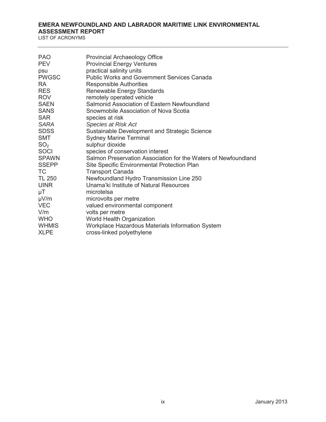LIST OF ACRONYMS

| <b>PAO</b>      | <b>Provincial Archaeology Office</b>                           |
|-----------------|----------------------------------------------------------------|
| <b>PEV</b>      | <b>Provincial Energy Ventures</b>                              |
| psu             | practical salinity units                                       |
| <b>PWGSC</b>    | <b>Public Works and Government Services Canada</b>             |
| <b>RA</b>       | <b>Responsible Authorities</b>                                 |
| <b>RES</b>      | Renewable Energy Standards                                     |
| <b>ROV</b>      | remotely operated vehicle                                      |
| <b>SAEN</b>     | Salmonid Association of Eastern Newfoundland                   |
| <b>SANS</b>     | Snowmobile Association of Nova Scotia                          |
| <b>SAR</b>      | species at risk                                                |
| <b>SARA</b>     | Species at Risk Act                                            |
| <b>SDSS</b>     | Sustainable Development and Strategic Science                  |
| <b>SMT</b>      | <b>Sydney Marine Terminal</b>                                  |
| SO <sub>2</sub> | sulphur dioxide                                                |
| <b>SOCI</b>     | species of conservation interest                               |
| <b>SPAWN</b>    | Salmon Preservation Association for the Waters of Newfoundland |
| <b>SSEPP</b>    | Site Specific Environmental Protection Plan                    |
| <b>TC</b>       | <b>Transport Canada</b>                                        |
| <b>TL 250</b>   | Newfoundland Hydro Transmission Line 250                       |
| <b>UINR</b>     | Unama'ki Institute of Natural Resources                        |
| μT              | microtelsa                                                     |
| $\mu V/m$       | microvolts per metre                                           |
| <b>VEC</b>      | valued environmental component                                 |
| V/m             | volts per metre                                                |
| <b>WHO</b>      | World Health Organization                                      |
| <b>WHMIS</b>    | Workplace Hazardous Materials Information System               |
| <b>XLPE</b>     | cross-linked polyethylene                                      |
|                 |                                                                |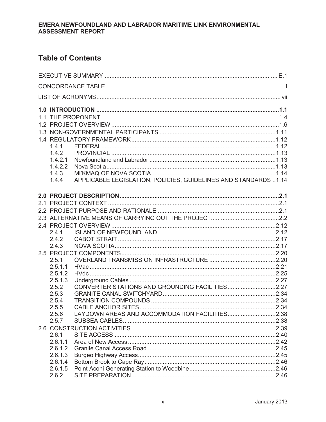## **Table of Contents**

| 1.4.1   |                                                                                                                  |  |  |  |
|---------|------------------------------------------------------------------------------------------------------------------|--|--|--|
| 1.4.2   |                                                                                                                  |  |  |  |
| 1.4.2.1 |                                                                                                                  |  |  |  |
| 1.4.2.2 |                                                                                                                  |  |  |  |
| 1.4.3   |                                                                                                                  |  |  |  |
| 1.4.4   | APPLICABLE LEGISLATION, POLICIES, GUIDELINES AND STANDARDS 1.14                                                  |  |  |  |
|         | and the control of the control of the control of the control of the control of the control of the control of the |  |  |  |
|         |                                                                                                                  |  |  |  |
|         |                                                                                                                  |  |  |  |
|         |                                                                                                                  |  |  |  |
|         |                                                                                                                  |  |  |  |
|         |                                                                                                                  |  |  |  |
| 2.4.1   |                                                                                                                  |  |  |  |
| 2.4.2   |                                                                                                                  |  |  |  |
| 2.4.3   |                                                                                                                  |  |  |  |
|         |                                                                                                                  |  |  |  |
| 2.5.1   |                                                                                                                  |  |  |  |
| 2.5.1.1 |                                                                                                                  |  |  |  |
| 2.5.1.2 |                                                                                                                  |  |  |  |
| 2.5.1.3 |                                                                                                                  |  |  |  |
| 2.5.2   | CONVERTER STATIONS AND GROUNDING FACILITIES2.27                                                                  |  |  |  |
| 2.5.3   |                                                                                                                  |  |  |  |
| 2.5.4   |                                                                                                                  |  |  |  |
| 2.5.5   |                                                                                                                  |  |  |  |
| 2.5.6   | LAYDOWN AREAS AND ACCOMMODATION FACILITIES2.38                                                                   |  |  |  |
| 2.5.7   |                                                                                                                  |  |  |  |
|         |                                                                                                                  |  |  |  |
| 2.6.1   |                                                                                                                  |  |  |  |
| 2.6.1.1 |                                                                                                                  |  |  |  |
| 2.6.1.2 |                                                                                                                  |  |  |  |
| 2.6.1.3 |                                                                                                                  |  |  |  |
| 2.6.1.4 |                                                                                                                  |  |  |  |
| 2.6.1.5 |                                                                                                                  |  |  |  |
| 2.6.2   |                                                                                                                  |  |  |  |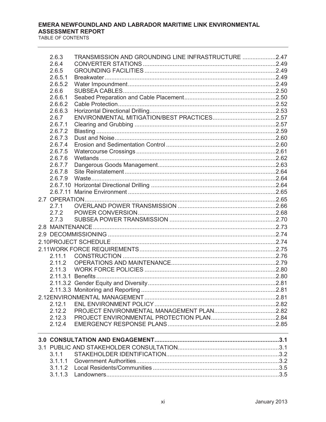| 2.6.3   | TRANSMISSION AND GROUNDING LINE INFRASTRUCTURE 2.47 |  |
|---------|-----------------------------------------------------|--|
| 2.6.4   |                                                     |  |
| 2.6.5   |                                                     |  |
| 2.6.5.1 |                                                     |  |
| 2.6.5.2 |                                                     |  |
| 2.6.6   |                                                     |  |
| 2.6.6.1 |                                                     |  |
| 2.6.6.2 |                                                     |  |
| 2.6.6.3 |                                                     |  |
| 2.6.7   |                                                     |  |
| 2.6.7.1 |                                                     |  |
| 2.6.7.2 |                                                     |  |
| 2.6.7.3 |                                                     |  |
| 2.6.7.4 |                                                     |  |
| 2.6.7.5 |                                                     |  |
| 2.6.7.6 |                                                     |  |
| 2.6.7.7 |                                                     |  |
| 2.6.7.8 |                                                     |  |
|         |                                                     |  |
|         |                                                     |  |
|         |                                                     |  |
|         |                                                     |  |
| 2.7.1   |                                                     |  |
| 2.7.2   |                                                     |  |
| 2.7.3   |                                                     |  |
|         |                                                     |  |
|         |                                                     |  |
|         |                                                     |  |
|         |                                                     |  |
|         |                                                     |  |
| 2.11.1  |                                                     |  |
| 2.11.2  |                                                     |  |
| 2.11.3  |                                                     |  |
|         |                                                     |  |
|         |                                                     |  |
|         |                                                     |  |
|         |                                                     |  |
| 2.12.1  |                                                     |  |
| 2.12.2  |                                                     |  |
| 2.12.3  |                                                     |  |
| 2.12.4  |                                                     |  |
|         |                                                     |  |
|         |                                                     |  |
|         |                                                     |  |
| 3.1.1   |                                                     |  |
| 3.1.1.1 |                                                     |  |
|         |                                                     |  |
| 3.1.1.3 |                                                     |  |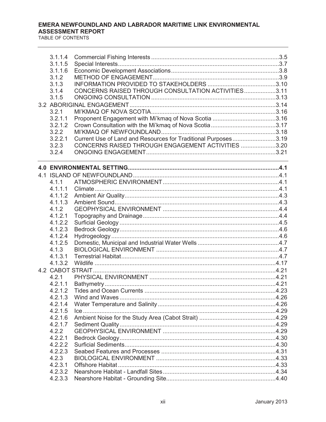| 3.1.1.4          |                                                                                                                  |  |
|------------------|------------------------------------------------------------------------------------------------------------------|--|
| 3.1.1.5          |                                                                                                                  |  |
| 3.1.1.6          |                                                                                                                  |  |
| 3.1.2            |                                                                                                                  |  |
| 3.1.3            |                                                                                                                  |  |
| 3.1.4            | CONCERNS RAISED THROUGH CONSULTATION ACTIVITIES3.11                                                              |  |
| 3.1.5            |                                                                                                                  |  |
|                  |                                                                                                                  |  |
| 3.2.1            |                                                                                                                  |  |
| 3.2.1.1          | Proponent Engagement with Mi'kmaq of Nova Scotia 3.16                                                            |  |
| 3.2.1.2          |                                                                                                                  |  |
| 3.2.2            |                                                                                                                  |  |
| 3.2.2.1<br>3.2.3 | Current Use of Land and Resources for Traditional Purposes3.19                                                   |  |
| 3.2.4            | CONCERNS RAISED THROUGH ENGAGEMENT ACTIVITIES 3.20                                                               |  |
|                  | and the control of the control of the control of the control of the control of the control of the control of the |  |
|                  |                                                                                                                  |  |
|                  |                                                                                                                  |  |
| 4.1.1            |                                                                                                                  |  |
| 4.1.1.1          |                                                                                                                  |  |
| 4.1.1.2          |                                                                                                                  |  |
| 4.1.1.3          |                                                                                                                  |  |
| 4.1.2            |                                                                                                                  |  |
| 4.1.2.1          |                                                                                                                  |  |
| 4.1.2.2          |                                                                                                                  |  |
| 4.1.2.3          |                                                                                                                  |  |
| 4.1.2.4          |                                                                                                                  |  |
| 4.1.2.5          |                                                                                                                  |  |
| 4.1.3            |                                                                                                                  |  |
| 4.1.3.1          |                                                                                                                  |  |
| 4.1.3.2          | 4.17. 4. المستقلة المستقلة المستقلة المستقلة المستقلة المستقلة المستقلة المستقلة المستقلة المستقلة المستقلة ال   |  |
|                  |                                                                                                                  |  |
| 4.2.1            |                                                                                                                  |  |
| 4.2.1.1          |                                                                                                                  |  |
| 4212             |                                                                                                                  |  |
| 4.2.1.3          |                                                                                                                  |  |
| 4.2.1.4          |                                                                                                                  |  |
| 4.2.1.5          |                                                                                                                  |  |
| 4.2.1.6          |                                                                                                                  |  |
| 4.2.1.7          |                                                                                                                  |  |
| 4.2.2            |                                                                                                                  |  |
| 4.2.2.1          |                                                                                                                  |  |
| 4.2.2.2          |                                                                                                                  |  |
| 4.2.2.3          |                                                                                                                  |  |
| 4.2.3            |                                                                                                                  |  |
| 4.2.3.1          |                                                                                                                  |  |
| 4.2.3.2          |                                                                                                                  |  |
| 4.2.3.3          |                                                                                                                  |  |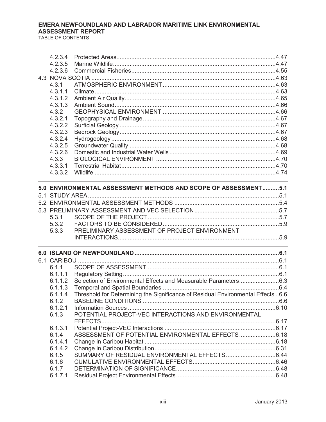| 4.2.3.4<br>4.2.3.5 |                                                                                                                                                                                                                               |  |
|--------------------|-------------------------------------------------------------------------------------------------------------------------------------------------------------------------------------------------------------------------------|--|
| 4.2.3.6            |                                                                                                                                                                                                                               |  |
|                    |                                                                                                                                                                                                                               |  |
| 4.3.1              |                                                                                                                                                                                                                               |  |
| 4.3.1.1            |                                                                                                                                                                                                                               |  |
| 4.3.1.2            |                                                                                                                                                                                                                               |  |
| 4.3.1.3            |                                                                                                                                                                                                                               |  |
| 4.3.2              |                                                                                                                                                                                                                               |  |
| 4.3.2.1            |                                                                                                                                                                                                                               |  |
| 4.3.2.2            |                                                                                                                                                                                                                               |  |
| 4.3.2.3            |                                                                                                                                                                                                                               |  |
| 4.3.2.4            |                                                                                                                                                                                                                               |  |
| 4.3.2.5            |                                                                                                                                                                                                                               |  |
| 4.3.2.6            |                                                                                                                                                                                                                               |  |
| 4.3.3              |                                                                                                                                                                                                                               |  |
| 4.3.3.1            |                                                                                                                                                                                                                               |  |
| 4.3.3.2            |                                                                                                                                                                                                                               |  |
|                    |                                                                                                                                                                                                                               |  |
|                    | 5.0 ENVIRONMENTAL ASSESSMENT METHODS AND SCOPE OF ASSESSMENT5.1                                                                                                                                                               |  |
|                    |                                                                                                                                                                                                                               |  |
|                    |                                                                                                                                                                                                                               |  |
|                    |                                                                                                                                                                                                                               |  |
| 5.3.1              |                                                                                                                                                                                                                               |  |
| 5.3.2              |                                                                                                                                                                                                                               |  |
| 5.3.3              | PRELIMINARY ASSESSMENT OF PROJECT ENVIRONMENT                                                                                                                                                                                 |  |
|                    | the control of the control of the control of the control of the control of the control of the control of the control of the control of the control of the control of the control of the control of the control of the control |  |
|                    |                                                                                                                                                                                                                               |  |
|                    |                                                                                                                                                                                                                               |  |
| 6.1.1              |                                                                                                                                                                                                                               |  |
| 6.1.1.1            |                                                                                                                                                                                                                               |  |
| 6.1.1.2            |                                                                                                                                                                                                                               |  |
| 6.1.1.3            |                                                                                                                                                                                                                               |  |
| 6.1.1.4            | Threshold for Determining the Significance of Residual Environmental Effects 6.6                                                                                                                                              |  |
| 6.1.2              |                                                                                                                                                                                                                               |  |
| 6.1.2.1            |                                                                                                                                                                                                                               |  |
| 6.1.3              | POTENTIAL PROJECT-VEC INTERACTIONS AND ENVIRONMENTAL                                                                                                                                                                          |  |
| 6.1.3.1            |                                                                                                                                                                                                                               |  |
| 6.1.4              | ASSESSMENT OF POTENTIAL ENVIRONMENTAL EFFECTS6.18                                                                                                                                                                             |  |
| 6.1.4.1            |                                                                                                                                                                                                                               |  |
| 6.1.4.2            |                                                                                                                                                                                                                               |  |
| 6.1.5              |                                                                                                                                                                                                                               |  |
| 6.1.6              |                                                                                                                                                                                                                               |  |
| 6.1.7              |                                                                                                                                                                                                                               |  |
| 6.1.7.1            |                                                                                                                                                                                                                               |  |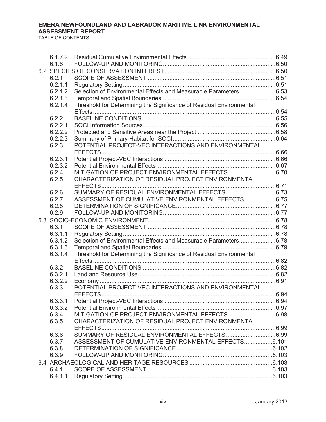| 6.1.7.2          |                                                                      |  |
|------------------|----------------------------------------------------------------------|--|
| 6.1.8            |                                                                      |  |
|                  |                                                                      |  |
| 6.2.1            |                                                                      |  |
| 6.2.1.1          |                                                                      |  |
| 6.2.1.2          | Selection of Environmental Effects and Measurable Parameters6.53     |  |
| 6.2.1.3          |                                                                      |  |
| 6.2.1.4          | Threshold for Determining the Significance of Residual Environmental |  |
|                  |                                                                      |  |
| 6.2.2            |                                                                      |  |
| 6.2.2.1          |                                                                      |  |
| 6.2.2.2          |                                                                      |  |
| 6.2.2.3<br>6.2.3 | POTENTIAL PROJECT-VEC INTERACTIONS AND ENVIRONMENTAL                 |  |
|                  |                                                                      |  |
| 6.2.3.1          |                                                                      |  |
| 6.2.3.2          |                                                                      |  |
| 6.2.4            |                                                                      |  |
| 6.2.5            | CHARACTERIZATION OF RESIDUAL PROJECT ENVIRONMENTAL                   |  |
|                  |                                                                      |  |
| 6.2.6            |                                                                      |  |
| 6.2.7            | ASSESSMENT OF CUMULATIVE ENVIRONMENTAL EFFECTS6.75                   |  |
| 6.2.8            |                                                                      |  |
| 6.2.9            |                                                                      |  |
|                  |                                                                      |  |
| 6.3.1            |                                                                      |  |
| 6.3.1.1          |                                                                      |  |
| 6.3.1.2          | Selection of Environmental Effects and Measurable Parameters6.78     |  |
| 6.3.1.3          |                                                                      |  |
| 6.3.1.4          | Threshold for Determining the Significance of Residual Environmental |  |
|                  |                                                                      |  |
| 6.3.2            |                                                                      |  |
| 6.3.2.1          |                                                                      |  |
| 6.3.2.2          | POTENTIAL PROJECT-VEC INTERACTIONS AND ENVIRONMENTAL                 |  |
| 6.3.3            |                                                                      |  |
| 6.3.3.1          |                                                                      |  |
| 6.3.3.2          |                                                                      |  |
| 6.3.4            |                                                                      |  |
| 6.3.5            | CHARACTERIZATION OF RESIDUAL PROJECT ENVIRONMENTAL                   |  |
|                  |                                                                      |  |
| 6.3.6            |                                                                      |  |
| 6.3.7            | ASSESSMENT OF CUMULATIVE ENVIRONMENTAL EFFECTS6.101                  |  |
| 6.3.8            |                                                                      |  |
| 6.3.9            |                                                                      |  |
|                  |                                                                      |  |
| 6.4.1            |                                                                      |  |
| 6.4.1.1          |                                                                      |  |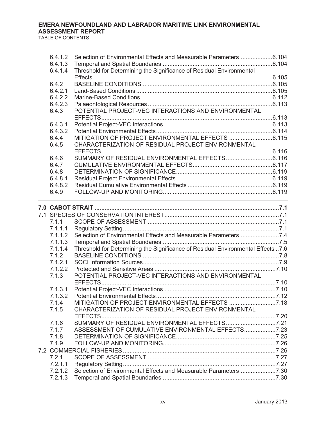| 6.4.1.2<br>6.4.1.3 | Selection of Environmental Effects and Measurable Parameters6.104                |  |
|--------------------|----------------------------------------------------------------------------------|--|
| 6.4.1.4            | Threshold for Determining the Significance of Residual Environmental             |  |
|                    |                                                                                  |  |
| 6.4.2              |                                                                                  |  |
| 6.4.2.1            |                                                                                  |  |
| 6.4.2.2<br>6.4.2.3 |                                                                                  |  |
| 6.4.3              | POTENTIAL PROJECT-VEC INTERACTIONS AND ENVIRONMENTAL                             |  |
|                    |                                                                                  |  |
| 6.4.3.1            |                                                                                  |  |
| 6.4.3.2            |                                                                                  |  |
| 6.4.4              |                                                                                  |  |
| 6.4.5              | CHARACTERIZATION OF RESIDUAL PROJECT ENVIRONMENTAL                               |  |
|                    |                                                                                  |  |
| 6.4.6              |                                                                                  |  |
| 6.4.7<br>6.4.8     |                                                                                  |  |
| 6.4.8.1            |                                                                                  |  |
| 6.4.8.2            |                                                                                  |  |
| 6.4.9              |                                                                                  |  |
|                    |                                                                                  |  |
|                    |                                                                                  |  |
|                    |                                                                                  |  |
| 7.1.1              |                                                                                  |  |
| 7.1.1.1            |                                                                                  |  |
| 7.1.1.2            |                                                                                  |  |
| 7.1.1.3            |                                                                                  |  |
| 7.1.1.4            | Threshold for Determining the Significance of Residual Environmental Effects 7.6 |  |
| 7.1.2              |                                                                                  |  |
| 7.1.2.1<br>7.1.2.2 |                                                                                  |  |
| 7.1.3              | POTENTIAL PROJECT-VEC INTERACTIONS AND ENVIRONMENTAL                             |  |
|                    |                                                                                  |  |
| 7.1.3.1            | <b>Potential Project-VEC Interactions</b>                                        |  |
| 7.1.3.2            |                                                                                  |  |
| 7.1.4              | MITIGATION OF PROJECT ENVIRONMENTAL EFFECTS 7.18                                 |  |
| 7.1.5              | CHARACTERIZATION OF RESIDUAL PROJECT ENVIRONMENTAL                               |  |
|                    |                                                                                  |  |
| 7.1.6              | SUMMARY OF RESIDUAL ENVIRONMENTAL EFFECTS7.21                                    |  |
| 7.1.7              | ASSESSMENT OF CUMULATIVE ENVIRONMENTAL EFFECTS7.23                               |  |
| 7.1.8              |                                                                                  |  |
| 7.1.9              |                                                                                  |  |
|                    |                                                                                  |  |
| 7.2.1              |                                                                                  |  |
| 7.2.1.1<br>7.2.1.2 |                                                                                  |  |
| 7.2.1.3            |                                                                                  |  |
|                    |                                                                                  |  |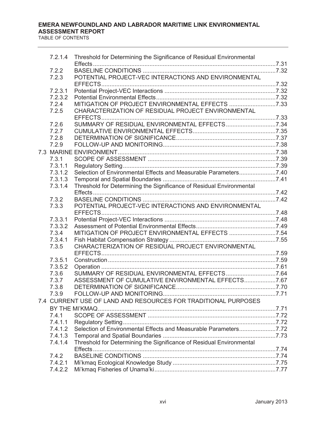| 7.2.1.4 | Threshold for Determining the Significance of Residual Environmental |  |
|---------|----------------------------------------------------------------------|--|
|         |                                                                      |  |
| 7.2.2   |                                                                      |  |
| 7.2.3   | POTENTIAL PROJECT-VEC INTERACTIONS AND ENVIRONMENTAL                 |  |
|         |                                                                      |  |
| 7.2.3.1 |                                                                      |  |
| 7.2.3.2 |                                                                      |  |
| 7.2.4   | MITIGATION OF PROJECT ENVIRONMENTAL EFFECTS 7.33                     |  |
| 7.2.5   | CHARACTERIZATION OF RESIDUAL PROJECT ENVIRONMENTAL                   |  |
| 7.2.6   | SUMMARY OF RESIDUAL ENVIRONMENTAL EFFECTS7.34                        |  |
| 7.2.7   |                                                                      |  |
| 7.2.8   |                                                                      |  |
| 7.2.9   |                                                                      |  |
|         |                                                                      |  |
| 7.3.1   |                                                                      |  |
| 7.3.1.1 |                                                                      |  |
|         |                                                                      |  |
| 7.3.1.2 |                                                                      |  |
| 7.3.1.3 |                                                                      |  |
| 7.3.1.4 | Threshold for Determining the Significance of Residual Environmental |  |
|         |                                                                      |  |
| 7.3.2   |                                                                      |  |
| 7.3.3   | POTENTIAL PROJECT-VEC INTERACTIONS AND ENVIRONMENTAL                 |  |
| 7.3.3.1 |                                                                      |  |
| 7.3.3.2 |                                                                      |  |
| 7.3.4   | MITIGATION OF PROJECT ENVIRONMENTAL EFFECTS 7.54                     |  |
| 7.3.4.1 |                                                                      |  |
| 7.3.5   | CHARACTERIZATION OF RESIDUAL PROJECT ENVIRONMENTAL                   |  |
|         |                                                                      |  |
| 7.3.5.1 |                                                                      |  |
| 7.3.5.2 |                                                                      |  |
| 7.3.6   | SUMMARY OF RESIDUAL ENVIRONMENTAL EFFECTS7.64                        |  |
| 7.3.7   | ASSESSMENT OF CUMULATIVE ENVIRONMENTAL EFFECTS7.67                   |  |
| 7.3.8   |                                                                      |  |
| 7.3.9   |                                                                      |  |
|         | 7.4 CURRENT USE OF LAND AND RESOURCES FOR TRADITIONAL PURPOSES       |  |
|         |                                                                      |  |
| 7.4.1   |                                                                      |  |
| 7.4.1.1 |                                                                      |  |
| 7.4.1.2 | Selection of Environmental Effects and Measurable Parameters7.72     |  |
| 7.4.1.3 |                                                                      |  |
| 7.4.1.4 | Threshold for Determining the Significance of Residual Environmental |  |
|         |                                                                      |  |
| 7.4.2   |                                                                      |  |
| 7.4.2.1 |                                                                      |  |
|         |                                                                      |  |
| 7.4.2.2 |                                                                      |  |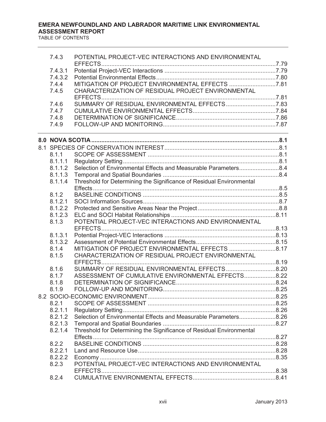| 7.4.3   | POTENTIAL PROJECT-VEC INTERACTIONS AND ENVIRONMENTAL                                                                                                                                                                          |  |
|---------|-------------------------------------------------------------------------------------------------------------------------------------------------------------------------------------------------------------------------------|--|
|         |                                                                                                                                                                                                                               |  |
| 7.4.3.1 |                                                                                                                                                                                                                               |  |
| 7.4.3.2 | MITIGATION OF PROJECT ENVIRONMENTAL EFFECTS 7.81                                                                                                                                                                              |  |
| 7.4.4   |                                                                                                                                                                                                                               |  |
| 7.4.5   | CHARACTERIZATION OF RESIDUAL PROJECT ENVIRONMENTAL                                                                                                                                                                            |  |
| 7.4.6   | SUMMARY OF RESIDUAL ENVIRONMENTAL EFFECTS7.83                                                                                                                                                                                 |  |
| 7.4.7   |                                                                                                                                                                                                                               |  |
| 7.4.8   |                                                                                                                                                                                                                               |  |
| 7.4.9   |                                                                                                                                                                                                                               |  |
|         | the control of the control of the control of the control of the control of the control of the control of the control of the control of the control of the control of the control of the control of the control of the control |  |
|         |                                                                                                                                                                                                                               |  |
|         |                                                                                                                                                                                                                               |  |
| 8.1.1   |                                                                                                                                                                                                                               |  |
| 8.1.1.1 |                                                                                                                                                                                                                               |  |
| 8.1.1.2 | Selection of Environmental Effects and Measurable Parameters8.4                                                                                                                                                               |  |
| 8.1.1.3 |                                                                                                                                                                                                                               |  |
| 8.1.1.4 | Threshold for Determining the Significance of Residual Environmental                                                                                                                                                          |  |
|         |                                                                                                                                                                                                                               |  |
| 8.1.2   |                                                                                                                                                                                                                               |  |
| 8.1.2.1 |                                                                                                                                                                                                                               |  |
| 8.1.2.2 |                                                                                                                                                                                                                               |  |
| 8.1.2.3 |                                                                                                                                                                                                                               |  |
| 8.1.3   | POTENTIAL PROJECT-VEC INTERACTIONS AND ENVIRONMENTAL                                                                                                                                                                          |  |
| 8.1.3.1 |                                                                                                                                                                                                                               |  |
| 8.1.3.2 |                                                                                                                                                                                                                               |  |
| 8.1.4   |                                                                                                                                                                                                                               |  |
| 8.1.5   | CHARACTERIZATION OF RESIDUAL PROJECT ENVIRONMENTAL                                                                                                                                                                            |  |
|         |                                                                                                                                                                                                                               |  |
| 8.1.6   |                                                                                                                                                                                                                               |  |
| 8.1.7   | ASSESSMENT OF CUMULATIVE ENVIRONMENTAL EFFECTS 8.22                                                                                                                                                                           |  |
| 8.1.8   |                                                                                                                                                                                                                               |  |
| 8.1.9   |                                                                                                                                                                                                                               |  |
|         |                                                                                                                                                                                                                               |  |
| 8.2.1   |                                                                                                                                                                                                                               |  |
| 8.2.1.1 |                                                                                                                                                                                                                               |  |
| 8.2.1.2 | Selection of Environmental Effects and Measurable Parameters8.26                                                                                                                                                              |  |
| 8.2.1.3 |                                                                                                                                                                                                                               |  |
| 8.2.1.4 | Threshold for Determining the Significance of Residual Environmental                                                                                                                                                          |  |
|         |                                                                                                                                                                                                                               |  |
| 8.2.2   |                                                                                                                                                                                                                               |  |
| 8.2.2.1 |                                                                                                                                                                                                                               |  |
| 8.2.2.2 |                                                                                                                                                                                                                               |  |
| 8.2.3   | POTENTIAL PROJECT-VEC INTERACTIONS AND ENVIRONMENTAL                                                                                                                                                                          |  |
|         |                                                                                                                                                                                                                               |  |
| 8.2.4   |                                                                                                                                                                                                                               |  |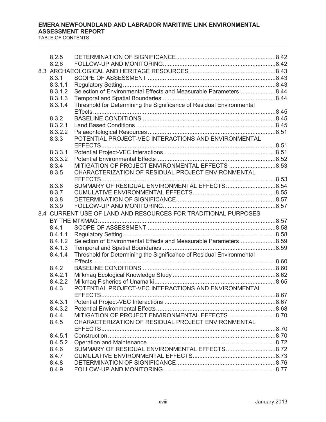| 8.2.5   |                                                                      |  |
|---------|----------------------------------------------------------------------|--|
| 8.2.6   |                                                                      |  |
|         |                                                                      |  |
| 8.3.1   |                                                                      |  |
| 8.3.1.1 |                                                                      |  |
| 8.3.1.2 | Selection of Environmental Effects and Measurable Parameters8.44     |  |
| 8.3.1.3 |                                                                      |  |
| 8.3.1.4 | Threshold for Determining the Significance of Residual Environmental |  |
|         |                                                                      |  |
| 8.3.2   |                                                                      |  |
| 8.3.2.1 |                                                                      |  |
| 8.3.2.2 | POTENTIAL PROJECT-VEC INTERACTIONS AND ENVIRONMENTAL                 |  |
| 8.3.3   |                                                                      |  |
| 8.3.3.1 |                                                                      |  |
| 8.3.3.2 |                                                                      |  |
| 8.3.4   |                                                                      |  |
| 8.3.5   | CHARACTERIZATION OF RESIDUAL PROJECT ENVIRONMENTAL                   |  |
|         |                                                                      |  |
| 8.3.6   |                                                                      |  |
| 8.3.7   |                                                                      |  |
| 8.3.8   |                                                                      |  |
| 8.3.9   |                                                                      |  |
|         | 8.4 CURRENT USE OF LAND AND RESOURCES FOR TRADITIONAL PURPOSES       |  |
|         |                                                                      |  |
| 8.4.1   |                                                                      |  |
| 8.4.1.1 |                                                                      |  |
| 8.4.1.2 |                                                                      |  |
| 8.4.1.3 |                                                                      |  |
| 8.4.1.4 | Threshold for Determining the Significance of Residual Environmental |  |
| 8.4.2   |                                                                      |  |
| 8.4.2.1 |                                                                      |  |
| 8.4.2.2 |                                                                      |  |
| 8.4.3   | POTENTIAL PROJECT-VEC INTERACTIONS AND ENVIRONMENTAL                 |  |
|         |                                                                      |  |
| 8.4.3.1 |                                                                      |  |
| 8.4.3.2 |                                                                      |  |
| 8.4.4   |                                                                      |  |
| 8.4.5   | CHARACTERIZATION OF RESIDUAL PROJECT ENVIRONMENTAL                   |  |
|         |                                                                      |  |
| 8.4.5.1 |                                                                      |  |
| 8.4.5.2 |                                                                      |  |
| 8.4.6   |                                                                      |  |
| 8.4.7   |                                                                      |  |
| 8.4.8   |                                                                      |  |
| 8.4.9   |                                                                      |  |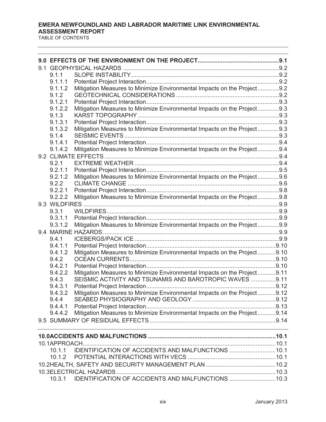| 9.1.1   |                                                                          |  |
|---------|--------------------------------------------------------------------------|--|
| 9.1.1.1 |                                                                          |  |
| 9.1.1.2 | Mitigation Measures to Minimize Environmental Impacts on the Project9.2  |  |
| 9.1.2   |                                                                          |  |
| 9.1.2.1 |                                                                          |  |
| 9.1.2.2 | Mitigation Measures to Minimize Environmental Impacts on the Project9.3  |  |
| 9.1.3   |                                                                          |  |
| 9.1.3.1 |                                                                          |  |
| 9.1.3.2 | Mitigation Measures to Minimize Environmental Impacts on the Project9.3  |  |
| 9.1.4   |                                                                          |  |
| 9.1.4.1 |                                                                          |  |
| 9.1.4.2 | Mitigation Measures to Minimize Environmental Impacts on the Project9.4  |  |
|         |                                                                          |  |
| 9.2.1   |                                                                          |  |
| 9.2.1.1 |                                                                          |  |
| 9.2.1.2 | Mitigation Measures to Minimize Environmental Impacts on the Project9.6  |  |
| 9.2.2   |                                                                          |  |
| 9.2.2.1 |                                                                          |  |
| 9.2.2.2 | Mitigation Measures to Minimize Environmental Impacts on the Project9.8  |  |
|         |                                                                          |  |
| 9.3.1   |                                                                          |  |
| 9.3.1.1 |                                                                          |  |
| 9.3.1.2 | Mitigation Measures to Minimize Environmental Impacts on the Project9.9  |  |
|         |                                                                          |  |
| 9.4.1   |                                                                          |  |
| 9.4.1.1 |                                                                          |  |
| 9.4.1.2 | Mitigation Measures to Minimize Environmental Impacts on the Project9.10 |  |
| 9.4.2   |                                                                          |  |
| 9.4.2.1 |                                                                          |  |
| 9.4.2.2 | Mitigation Measures to Minimize Environmental Impacts on the Project9.11 |  |
| 9.4.3   | SEISMIC ACTIVITY AND TSUNAMIS AND BAROTROPIC WAVES 9.11                  |  |
| 9.4.3.1 |                                                                          |  |
| 9.4.3.2 | Mitigation Measures to Minimize Environmental Impacts on the Project9.12 |  |
| 9.4.4   |                                                                          |  |
| 9.4.4.1 |                                                                          |  |
| 9.4.4.2 | Mitigation Measures to Minimize Environmental Impacts on the Project9.14 |  |
|         | <u> 1989 - Andrea Stadt Britain, amerikansk politik (* 1958)</u>         |  |
|         |                                                                          |  |
|         |                                                                          |  |
| 10.1.1  | IDENTIFICATION OF ACCIDENTS AND MALFUNCTIONS  10.1                       |  |
| 10.1.2  |                                                                          |  |
|         |                                                                          |  |
|         |                                                                          |  |
| 10.3.1  | IDENTIFICATION OF ACCIDENTS AND MALFUNCTIONS 10.3                        |  |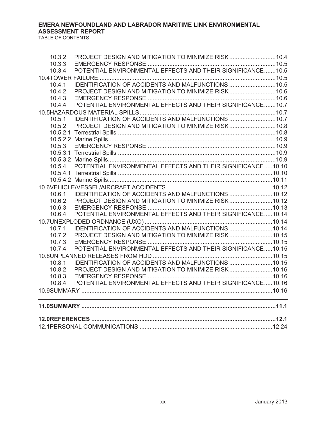| 10.3.2<br>10.3.3 | PROJECT DESIGN AND MITIGATION TO MINIMIZE RISK10.4                                                               |  |
|------------------|------------------------------------------------------------------------------------------------------------------|--|
| 10.3.4           | POTENTIAL ENVIRONMENTAL EFFECTS AND THEIR SIGNIFICANCE10.5                                                       |  |
|                  |                                                                                                                  |  |
| 10.4.1           | IDENTIFICATION OF ACCIDENTS AND MALFUNCTIONS  10.5                                                               |  |
| 10.4.2           | PROJECT DESIGN AND MITIGATION TO MINIMIZE RISK10.6                                                               |  |
| 10.4.3           |                                                                                                                  |  |
| 10.4.4           | POTENTIAL ENVIRONMENTAL EFFECTS AND THEIR SIGNIFICANCE10.7                                                       |  |
|                  |                                                                                                                  |  |
| 10.5.1           |                                                                                                                  |  |
| 10.5.2           | PROJECT DESIGN AND MITIGATION TO MINIMIZE RISK10.8                                                               |  |
|                  |                                                                                                                  |  |
|                  |                                                                                                                  |  |
| 10.5.3           |                                                                                                                  |  |
|                  |                                                                                                                  |  |
|                  |                                                                                                                  |  |
|                  |                                                                                                                  |  |
|                  |                                                                                                                  |  |
|                  |                                                                                                                  |  |
|                  |                                                                                                                  |  |
| 10.6.1           | IDENTIFICATION OF ACCIDENTS AND MALFUNCTIONS 10.12                                                               |  |
| 10.6.2           | PROJECT DESIGN AND MITIGATION TO MINIMIZE RISK10.12                                                              |  |
| 10.6.3           |                                                                                                                  |  |
| 10.6.4           | POTENTIAL ENVIRONMENTAL EFFECTS AND THEIR SIGNIFICANCE10.14                                                      |  |
|                  |                                                                                                                  |  |
| 10.7.1           |                                                                                                                  |  |
| 10.7.2           | PROJECT DESIGN AND MITIGATION TO MINIMIZE RISK10.15                                                              |  |
| 10.7.3           |                                                                                                                  |  |
| 10.7.4           | POTENTIAL ENVIRONMENTAL EFFECTS AND THEIR SIGNIFICANCE10.15                                                      |  |
|                  |                                                                                                                  |  |
| 10.8.1           | IDENTIFICATION OF ACCIDENTS AND MALFUNCTIONS 10.15                                                               |  |
| 10.8.2           |                                                                                                                  |  |
| 10.8.3           |                                                                                                                  |  |
| 10.8.4           | POTENTIAL ENVIRONMENTAL EFFECTS AND THEIR SIGNIFICANCE10.16                                                      |  |
|                  | and the control of the control of the control of the control of the control of the control of the control of the |  |
|                  |                                                                                                                  |  |
|                  |                                                                                                                  |  |
|                  |                                                                                                                  |  |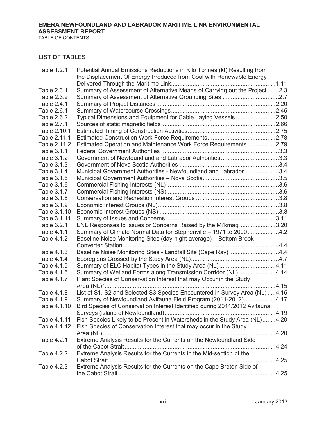#### TABLE OF CONTENTS

#### **LIST OF TABLES**

| Table 1.2.1  | Potential Annual Emissions Reductions in Kilo Tonnes (kt) Resulting from    |  |
|--------------|-----------------------------------------------------------------------------|--|
|              | the Displacement Of Energy Produced from Coal with Renewable Energy         |  |
|              |                                                                             |  |
| Table 2.3.1  | Summary of Assessment of Alternative Means of Carrying out the Project 2.3  |  |
| Table 2.3.2  |                                                                             |  |
| Table 2.4.1  |                                                                             |  |
| Table 2.6.1  |                                                                             |  |
| Table 2.6.2  | Typical Dimensions and Equipment for Cable Laying Vessels2.50               |  |
| Table 2.7.1  |                                                                             |  |
| Table 2.10.1 |                                                                             |  |
| Table 2.11.1 |                                                                             |  |
| Table 2.11.2 | Estimated Operation and Maintenance Work Force Requirements2.79             |  |
| Table 3.1.1  |                                                                             |  |
| Table 3.1.2  | Government of Newfoundland and Labrador Authorities3.3                      |  |
| Table 3.1.3  |                                                                             |  |
| Table 3.1.4  | Municipal Government Authorities - Newfoundland and Labrador3.4             |  |
| Table 3.1.5  |                                                                             |  |
| Table 3.1.6  |                                                                             |  |
| Table 3.1.7  |                                                                             |  |
| Table 3.1.8  |                                                                             |  |
| Table 3.1.9  |                                                                             |  |
| Table 3.1.10 |                                                                             |  |
| Table 3.1.11 |                                                                             |  |
| Table 3.2.1  | ENL Responses to Issues or Concerns Raised by the Mi'kmaq3.20               |  |
| Table 4.1.1  | Summary of Climate Normal Data for Stephenville - 1971 to 20004.2           |  |
| Table 4.1.2  | Baseline Noise Monitoring Sites (day-night average) - Bottom Brook          |  |
|              |                                                                             |  |
| Table 4.1.3  | Baseline Noise Monitoring Sites - Landfall Site (Cape Ray) 4.4              |  |
| Table 4.1.4  |                                                                             |  |
| Table 4.1.5  | Summary of ELC Habitat Types in the Study Area (NL)4.11                     |  |
| Table 4.1.6  | Summary of Wetland Forms along Transmission Corridor (NL) 4.14              |  |
| Table 4.1.7  | Plant Species of Conservation Interest that may Occur in the Study          |  |
|              |                                                                             |  |
| Table 4.1.8  | List of S1, S2 and Selected S3 Species Encountered in Survey Area (NL) 4.15 |  |
| Table 4.1.9  | Summary of Newfoundland Avifauna Field Program (2011-2012)4.17              |  |
| Table 4.1.10 | Bird Species of Conservation Interest Identified during 2011/2012 Avifauna  |  |
|              |                                                                             |  |
| Table 4.1.11 | Fish Species Likely to be Present in Watersheds in the Study Area (NL)4.20  |  |
| Table 4.1.12 | Fish Species of Conservation Interest that may occur in the Study           |  |
|              |                                                                             |  |
| Table 4.2.1  | Extreme Analysis Results for the Currents on the Newfoundland Side          |  |
|              |                                                                             |  |
| Table 4.2.2  | Extreme Analysis Results for the Currents in the Mid-section of the         |  |
|              |                                                                             |  |
| Table 4.2.3  | Extreme Analysis Results for the Currents on the Cape Breton Side of        |  |
|              |                                                                             |  |
|              |                                                                             |  |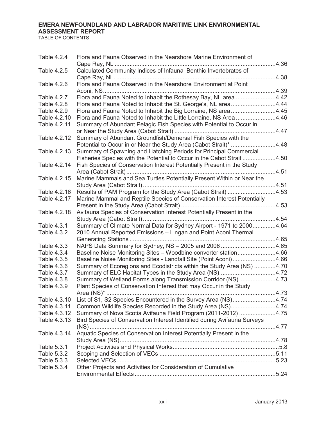| <b>Table 4.2.4</b> | Flora and Fauna Observed in the Nearshore Marine Environment of          |       |
|--------------------|--------------------------------------------------------------------------|-------|
| Table 4.2.5        | Calculated Community Indices of Infaunal Benthic Invertebrates of        |       |
|                    |                                                                          | .4.38 |
| Table 4.2.6        | Flora and Fauna Observed in the Nearshore Environment at Point           |       |
| Table 4.2.7        | Flora and Fauna Noted to Inhabit the Rothesay Bay, NL area 4.42          |       |
| Table 4.2.8        | Flora and Fauna Noted to Inhabit the St. George's, NL area4.44           |       |
| Table 4.2.9        | Flora and Fauna Noted to Inhabit the Big Lorraine, NS area4.45           |       |
| Table 4.2.10       | Flora and Fauna Noted to Inhabit the Little Lorraine, NS Area 4.46       |       |
| Table 4.2.11       | Summary of Abundant Pelagic Fish Species with Potential to Occur in      |       |
|                    |                                                                          |       |
| Table 4.2.12       | Summary of Abundant Groundfish/Demersal Fish Species with the            |       |
|                    | Potential to Occur in or Near the Study Area (Cabot Strait)* 4.48        |       |
| Table 4.2.13       | Summary of Spawning and Hatching Periods for Principal Commercial        |       |
|                    | Fisheries Species with the Potential to Occur in the Cabot Strait 4.50   |       |
| Table 4.2.14       | Fish Species of Conservation Interest Potentially Present in the Study   |       |
|                    |                                                                          |       |
| Table 4.2.15       | Marine Mammals and Sea Turtles Potentially Present Within or Near the    |       |
| Table 4.2.16       | Results of PAM Program for the Study Area (Cabot Strait) 4.53            |       |
| Table 4.2.17       | Marine Mammal and Reptile Species of Conservation Interest Potentially   |       |
|                    |                                                                          |       |
| Table 4.2.18       | Avifauna Species of Conservation Interest Potentially Present in the     |       |
|                    |                                                                          |       |
| Table 4.3.1        | Summary of Climate Normal Data for Sydney Airport - 1971 to 20004.64     |       |
| Table 4.3.2        | 2010 Annual Reported Emissions - Lingan and Point Aconi Thermal          |       |
|                    |                                                                          |       |
| Table 4.3.3        | NAPS Data Summary for Sydney, NS - 2005 and 2006 4.65                    |       |
| Table 4.3.4        | Baseline Noise Monitoring Sites - Woodbine converter station4.66         |       |
| Table 4.3.5        | Baseline Noise Monitoring Sites - Landfall Site (Point Aconi)4.66        |       |
| Table 4.3.6        | Summary of Ecoregions and Ecodistricts within the Study Area (NS) 4.70   |       |
| Table 4.3.7        | Summary of ELC Habitat Types in the Study Area (NS)4.72                  |       |
| Table 4.3.8        | Summary of Wetland Forms along Transmission Corridor (NS)4.73            |       |
| Table 4.3.9        | Plant Species of Conservation Interest that may Occur in the Study       |       |
| Table 4.3.10       | List of S1, S2 Species Encountered in the Survey Area (NS)4.74           |       |
| Table 4.3.11       | Common Wildlife Species Recorded in the Study Area (NS)4.74              |       |
| Table 4.3.12       | Summary of Nova Scotia Avifauna Field Program (2011-2012) 4.75           |       |
| Table 4.3.13       | Bird Species of Conservation Interest Identified during Avifauna Surveys |       |
|                    |                                                                          |       |
| Table 4.3.14       | Aquatic Species of Conservation Interest Potentially Present in the      |       |
|                    |                                                                          |       |
| Table 5.3.1        |                                                                          |       |
| Table 5.3.2        |                                                                          |       |
| Table 5.3.3        |                                                                          |       |
| Table 5.3.4        | Other Projects and Activities for Consideration of Cumulative            |       |
|                    |                                                                          |       |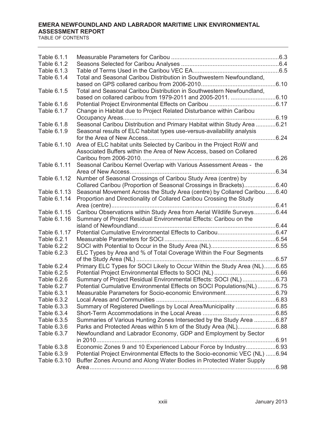| Table 6.1.1  |                                                                             |       |
|--------------|-----------------------------------------------------------------------------|-------|
| Table 6.1.2  |                                                                             |       |
| Table 6.1.3  |                                                                             |       |
| Table 6.1.4  | Total and Seasonal Caribou Distribution in Southwestern Newfoundland,       |       |
|              |                                                                             |       |
| Table 6.1.5  | Total and Seasonal Caribou Distribution in Southwestern Newfoundland,       |       |
|              |                                                                             |       |
| Table 6.1.6  |                                                                             |       |
| Table 6.1.7  | Change in Habitat due to Project Related Disturbance within Caribou         |       |
|              |                                                                             |       |
| Table 6.1.8  | Seasonal Caribou Distribution and Primary Habitat within Study Area 6.21    |       |
| Table 6.1.9  | Seasonal results of ELC habitat types use-versus-availability analysis      |       |
|              |                                                                             |       |
| Table 6.1.10 | Area of ELC habitat units Selected by Caribou in the Project RoW and        |       |
|              | Associated Buffers within the Area of New Access, based on Collared         |       |
|              |                                                                             | .6.26 |
| Table 6.1.11 | Seasonal Caribou Kernel Overlap with Various Assessment Areas - the         |       |
|              |                                                                             |       |
| Table 6.1.12 | Number of Seasonal Crossings of Caribou Study Area (centre) by              |       |
|              | Collared Caribou (Proportion of Seasonal Crossings in Brackets)6.40         |       |
| Table 6.1.13 | Seasonal Movement Across the Study Area (centre) by Collared Caribou6.40    |       |
| Table 6.1.14 | Proportion and Directionality of Collared Caribou Crossing the Study        |       |
|              |                                                                             |       |
| Table 6.1.15 | Caribou Observations within Study Area from Aerial Wildlife Surveys6.44     |       |
| Table 6.1.16 | Summary of Project Residual Environmental Effects: Caribou on the           |       |
|              |                                                                             |       |
| Table 6.1.17 |                                                                             |       |
| Table 6.2.1  |                                                                             |       |
| Table 6.2.2  |                                                                             |       |
| Table 6.2.3  | ELC Types by Area and % of Total Coverage Within the Four Segments          |       |
|              |                                                                             |       |
| Table 6.2.4  | Primary ELC Types for SOCI Likely to Occur Within the Study Area (NL)6.65   |       |
| Table 6.2.5  |                                                                             |       |
| Table 6.2.6  | Summary of Project Residual Environmental Effects: SOCI (NL)6.73            |       |
| Table 6.2.7  | Potential Cumulative Environmental Effects on SOCI Populations(NL)6.75      |       |
| Table 6.3.1  | Measurable Parameters for Socio-economic Environment6.79                    |       |
| Table 6.3.2  |                                                                             |       |
| Table 6.3.3  | Summary of Registered Dwellings by Local Area/Municipality 6.85             |       |
| Table 6.3.4  |                                                                             |       |
| Table 6.3.5  | Summaries of Various Hunting Zones Intersected by the Study Area 6.87       |       |
| Table 6.3.6  |                                                                             |       |
| Table 6.3.7  | Newfoundland and Labrador Economy, GDP and Employment by Sector             |       |
|              | in 2010                                                                     |       |
| Table 6.3.8  | Economic Zones 9 and 10 Experienced Labour Force by Industry6.93            |       |
| Table 6.3.9  | Potential Project Environmental Effects to the Socio-economic VEC (NL) 6.94 |       |
| Table 6.3.10 | Buffer Zones Around and Along Water Bodies in Protected Water Supply        |       |
|              |                                                                             |       |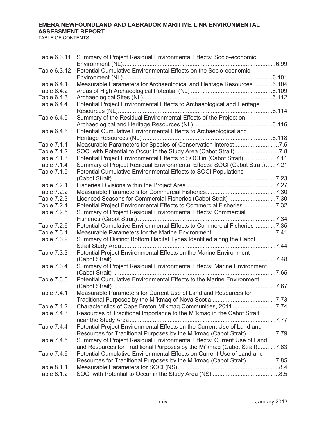| Table 6.3.11 | Summary of Project Residual Environmental Effects: Socio-economic          |  |
|--------------|----------------------------------------------------------------------------|--|
| Table 6.3.12 | Potential Cumulative Environmental Effects on the Socio-economic           |  |
| Table 6.4.1  | Measurable Parameters for Archaeological and Heritage Resources6.104       |  |
| Table 6.4.2  |                                                                            |  |
| Table 6.4.3  |                                                                            |  |
| Table 6.4.4  | Potential Project Environmental Effects to Archaeological and Heritage     |  |
|              |                                                                            |  |
| Table 6.4.5  | Summary of the Residual Environmental Effects of the Project on            |  |
|              |                                                                            |  |
| Table 6.4.6  | Potential Cumulative Environmental Effects to Archaeological and           |  |
|              |                                                                            |  |
| Table 7.1.1  | Measurable Parameters for Species of Conservation Interest7.5              |  |
| Table 7.1.2  |                                                                            |  |
| Table 7.1.3  | Potential Project Environmental Effects to SOCI in (Cabot Strait) 7.11     |  |
| Table 7.1.4  | Summary of Project Residual Environmental Effects: SOCI (Cabot Strait)7.21 |  |
| Table 7.1.5  | Potential Cumulative Environmental Effects to SOCI Populations             |  |
|              |                                                                            |  |
| Table 7.2.1  |                                                                            |  |
| Table 7.2.2  |                                                                            |  |
| Table 7.2.3  |                                                                            |  |
| Table 7.2.4  | Potential Project Environmental Effects to Commercial Fisheries 7.32       |  |
| Table 7.2.5  | Summary of Project Residual Environmental Effects: Commercial              |  |
|              |                                                                            |  |
| Table 7.2.6  | Potential Cumulative Environmental Effects to Commercial Fisheries7.35     |  |
| Table 7.3.1  |                                                                            |  |
| Table 7.3.2  | Summary of Distinct Bottom Habitat Types Identified along the Cabot        |  |
|              |                                                                            |  |
| Table 7.3.3  | Potential Project Environmental Effects on the Marine Environment          |  |
|              |                                                                            |  |
| Table 7.3.4  | Summary of Project Residual Environmental Effects: Marine Environment      |  |
|              |                                                                            |  |
| Table 7.3.5  | Potential Cumulative Environmental Effects to the Marine Environment       |  |
|              |                                                                            |  |
| Table 7.4.1  | Measurable Parameters for Current Use of Land and Resources for            |  |
|              |                                                                            |  |
| Table 7.4.2  | Characteristics of Cape Breton Mi'kmaq Communities, 20117.74               |  |
| Table 7.4.3  | Resources of Traditional Importance to the Mi'kmaq in the Cabot Strait     |  |
|              |                                                                            |  |
| Table 7.4.4  | Potential Project Environmental Effects on the Current Use of Land and     |  |
|              | Resources for Traditional Purposes by the Mi'kmaq (Cabot Strait) 7.79      |  |
| Table 7.4.5  | Summary of Project Residual Environmental Effects: Current Use of Land     |  |
|              | and Resources for Traditional Purposes by the Mi'kmag (Cabot Strait)7.83   |  |
| Table 7.4.6  | Potential Cumulative Environmental Effects on Current Use of Land and      |  |
|              | Resources for Traditional Purposes by the Mi'kmaq (Cabot Strait) 7.85      |  |
| Table 8.1.1  |                                                                            |  |
| Table 8.1.2  |                                                                            |  |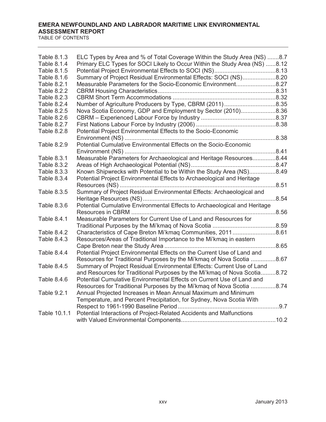| Table 8.1.3<br>Table 8.1.4 | ELC Types by Area and % of Total Coverage Within the Study Area (NS) 8.7<br>Primary ELC Types for SOCI Likely to Occur Within the Study Area (NS) 8.12 |  |
|----------------------------|--------------------------------------------------------------------------------------------------------------------------------------------------------|--|
| Table 8.1.5                |                                                                                                                                                        |  |
| Table 8.1.6                | Summary of Project Residual Environmental Effects: SOCI (NS)8.20                                                                                       |  |
| Table 8.2.1                | Measurable Parameters for the Socio-Economic Environment8.27                                                                                           |  |
| Table 8.2.2                |                                                                                                                                                        |  |
| Table 8.2.3                |                                                                                                                                                        |  |
| Table 8.2.4                |                                                                                                                                                        |  |
| Table 8.2.5                | Nova Scotia Economy, GDP and Employment by Sector (2010)8.36                                                                                           |  |
| Table 8.2.6                |                                                                                                                                                        |  |
| Table 8.2.7                |                                                                                                                                                        |  |
| Table 8.2.8                | Potential Project Environmental Effects to the Socio-Economic                                                                                          |  |
|                            |                                                                                                                                                        |  |
| Table 8.2.9                | Potential Cumulative Environmental Effects on the Socio-Economic                                                                                       |  |
| Table 8.3.1                | Measurable Parameters for Archaeological and Heritage Resources8.44                                                                                    |  |
| Table 8.3.2                |                                                                                                                                                        |  |
| Table 8.3.3                | Known Shipwrecks with Potential to be Within the Study Area (NS)8.49                                                                                   |  |
| Table 8.3.4                | Potential Project Environmental Effects to Archaeological and Heritage                                                                                 |  |
|                            |                                                                                                                                                        |  |
| Table 8.3.5                | Summary of Project Residual Environmental Effects: Archaeological and                                                                                  |  |
|                            |                                                                                                                                                        |  |
| Table 8.3.6                | Potential Cumulative Environmental Effects to Archaeological and Heritage                                                                              |  |
|                            |                                                                                                                                                        |  |
| Table 8.4.1                | Measurable Parameters for Current Use of Land and Resources for                                                                                        |  |
|                            |                                                                                                                                                        |  |
| Table 8.4.2                | Characteristics of Cape Breton Mi'kmaq Communities, 20118.61                                                                                           |  |
| Table 8.4.3                | Resources/Areas of Traditional Importance to the Mi'kmaq in eastern                                                                                    |  |
|                            |                                                                                                                                                        |  |
| Table 8.4.4                | Potential Project Environmental Effects on the Current Use of Land and                                                                                 |  |
|                            | Resources for Traditional Purposes by the Mi'kmaq of Nova Scotia 8.67                                                                                  |  |
| Table 8.4.5                | Summary of Project Residual Environmental Effects: Current Use of Land                                                                                 |  |
|                            | and Resources for Traditional Purposes by the Mi'kmaq of Nova Scotia8.72                                                                               |  |
| Table 8.4.6                | Potential Cumulative Environmental Effects on Current Use of Land and                                                                                  |  |
|                            | Resources for Traditional Purposes by the Mi'kmag of Nova Scotia 8.74                                                                                  |  |
| Table 9.2.1                | Annual Projected Increases in Mean Annual Maximum and Minimum                                                                                          |  |
|                            | Temperature, and Percent Precipitation, for Sydney, Nova Scotia With                                                                                   |  |
|                            |                                                                                                                                                        |  |
| Table 10.1.1               | Potential Interactions of Project-Related Accidents and Malfunctions                                                                                   |  |
|                            |                                                                                                                                                        |  |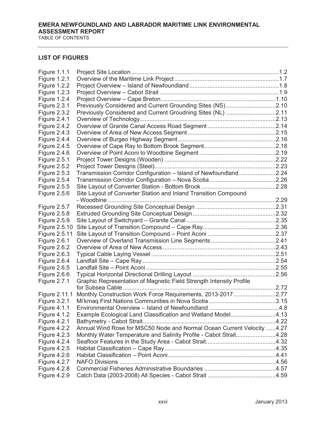#### **LIST OF FIGURES**

| <b>Figure 1.1.1</b> |                                                                        |  |
|---------------------|------------------------------------------------------------------------|--|
| <b>Figure 1.2.1</b> |                                                                        |  |
| Figure 1.2.2        |                                                                        |  |
| <b>Figure 1.2.3</b> |                                                                        |  |
| <b>Figure 1.2.4</b> |                                                                        |  |
| <b>Figure 2.3.1</b> | Previously Considered and Current Grounding Sites (NS)2.10             |  |
| Figure 2.3.2        | Previously Considered and Current Groudning Sites (NL) 2.11            |  |
| <b>Figure 2.4.1</b> |                                                                        |  |
| <b>Figure 2.4.2</b> |                                                                        |  |
| <b>Figure 2.4.3</b> |                                                                        |  |
| <b>Figure 2.4.4</b> |                                                                        |  |
| <b>Figure 2.4.5</b> |                                                                        |  |
| <b>Figure 2.4.6</b> |                                                                        |  |
| <b>Figure 2.5.1</b> |                                                                        |  |
| <b>Figure 2.5.2</b> |                                                                        |  |
| <b>Figure 2.5.3</b> | Transmission Corridor Configuration - Island of Newfoundland2.24       |  |
| Figure 2.5.4        |                                                                        |  |
| <b>Figure 2.5.5</b> |                                                                        |  |
| <b>Figure 2.5.6</b> | Site Layout of Converter Station and Inland Transition Compound        |  |
|                     | - Woodbine                                                             |  |
| Figure 2.5.7        |                                                                        |  |
| <b>Figure 2.5.8</b> |                                                                        |  |
| <b>Figure 2.5.9</b> |                                                                        |  |
| Figure 2.5.10       |                                                                        |  |
| Figure 2.5.11       |                                                                        |  |
| <b>Figure 2.6.1</b> |                                                                        |  |
| Figure 2.6.2        |                                                                        |  |
| <b>Figure 2.6.3</b> |                                                                        |  |
| <b>Figure 2.6.4</b> |                                                                        |  |
| <b>Figure 2.6.5</b> |                                                                        |  |
| <b>Figure 2.6.6</b> |                                                                        |  |
| Figure 2.7.1        | Graphic Representation of Magnetic Field Strength Intensity Profile    |  |
|                     |                                                                        |  |
| Figure 2.11.1       | Monthly Construction Work Force Requirements, 2013-2017 2.77           |  |
| <b>Figure 3.2.1</b> |                                                                        |  |
| <b>Figure 4.1.1</b> |                                                                        |  |
| <b>Figure 4.1.2</b> | Example Ecological Land Classification and Wetland Model4.13           |  |
| <b>Figure 4.2.1</b> |                                                                        |  |
| Figure 4.2.2        | Annual Wind Rose for MSC50 Node and Normal Ocean Current Velocity 4.27 |  |
| <b>Figure 4.2.3</b> | Monthly Water Temperature and Salinity Profile - Cabot Strait4.28      |  |
| Figure 4.2.4        |                                                                        |  |
| <b>Figure 4.2.5</b> |                                                                        |  |
| <b>Figure 4.2.6</b> |                                                                        |  |
| Figure 4.2.7        |                                                                        |  |
| <b>Figure 4.2.8</b> |                                                                        |  |
| <b>Figure 4.2.9</b> |                                                                        |  |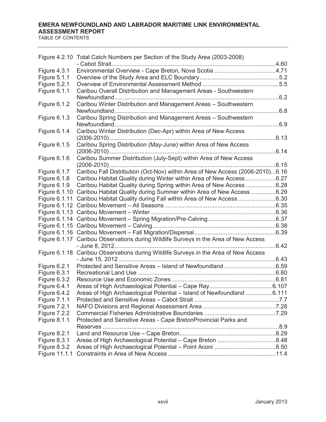| Figure 4.2.10 Total Catch Numbers per Section of the Study Area (2003-2008)<br><b>Figure 4.3.1</b> |  |
|----------------------------------------------------------------------------------------------------|--|
|                                                                                                    |  |
|                                                                                                    |  |
| Figure 5.1.1                                                                                       |  |
| <b>Figure 5.2.1</b>                                                                                |  |
| Figure 6.1.1<br>Caribou Overall Distribution and Management Areas - Southwestern                   |  |
|                                                                                                    |  |
| Caribou Winter Distribution and Management Areas - Southwestern<br>Figure 6.1.2                    |  |
|                                                                                                    |  |
| Caribou Spring Distribution and Management Areas - Southwestern<br>Figure 6.1.3                    |  |
|                                                                                                    |  |
| Caribou Winter Distribution (Dec-Apr) within Area of New Access<br>Figure 6.1.4                    |  |
|                                                                                                    |  |
| Caribou Spring Distribution (May-June) within Area of New Access<br>Figure 6.1.5                   |  |
| Caribou Summer Distribution (July-Sept) within Area of New Access                                  |  |
| Figure 6.1.6<br>6.15                                                                               |  |
| Caribou Fall Distribution (Oct-Nov) within Area of New Access (2006-2010)6.16<br>Figure 6.1.7      |  |
| Figure 6.1.8<br>Caribou Habitat Quality during Winter within Area of New Access 6.27               |  |
| Caribou Habitat Quality during Spring within Area of New Access 6.28<br>Figure 6.1.9               |  |
| Figure 6.1.10 Caribou Habitat Quality during Summer within Area of New Access 6.29                 |  |
| Figure 6.1.11 Caribou Habitat Quality during Fall within Area of New Access6.30                    |  |
|                                                                                                    |  |
|                                                                                                    |  |
|                                                                                                    |  |
|                                                                                                    |  |
|                                                                                                    |  |
| Figure 6.1.17 Caribou Observations during Wildlife Surveys in the Area of New Access               |  |
|                                                                                                    |  |
| Figure 6.1.18 Caribou Observations during Wildlife Surveys in the Area of New Access               |  |
|                                                                                                    |  |
| Figure 6.2.1                                                                                       |  |
| Figure 6.3.1                                                                                       |  |
| Figure 6.3.2                                                                                       |  |
| Figure 6.4.1                                                                                       |  |
| Areas of High Archaeological Potential - Island of Newfoundland 6.111<br>Figure 6.4.2              |  |
| <b>Figure 7.1.1</b>                                                                                |  |
| <b>Figure 7.2.1</b>                                                                                |  |
| <b>Figure 7.2.2</b><br>Protected and Sensitive Areas - Cape BretonProvincial Parks and             |  |
| <b>Figure 8.1.1</b>                                                                                |  |
| <b>Figure 8.2.1</b>                                                                                |  |
| <b>Figure 8.3.1</b>                                                                                |  |
| Figure 8.3.2                                                                                       |  |
| Figure 11.1.1                                                                                      |  |